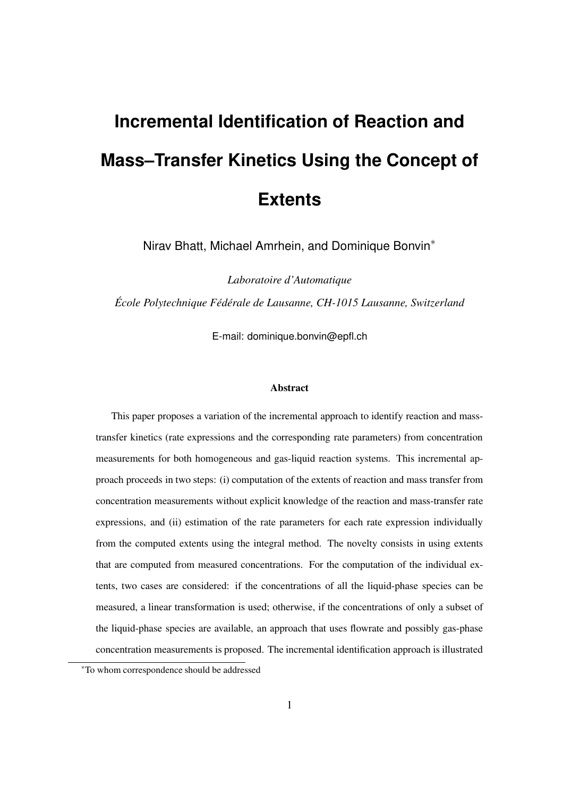# **Incremental Identification of Reaction and Mass–Transfer Kinetics Using the Concept of Extents**

Nirav Bhatt, Michael Amrhein, and Dominique Bonvin∗

*Laboratoire d'Automatique*

*École Polytechnique Fédérale de Lausanne, CH-1015 Lausanne, Switzerland*

E-mail: dominique.bonvin@epfl.ch

#### **Abstract**

This paper proposes a variation of the incremental approach to identify reaction and masstransfer kinetics (rate expressions and the corresponding rate parameters) from concentration measurements for both homogeneous and gas-liquid reaction systems. This incremental approach proceeds in two steps: (i) computation of the extents of reaction and mass transfer from concentration measurements without explicit knowledge of the reaction and mass-transfer rate expressions, and (ii) estimation of the rate parameters for each rate expression individually from the computed extents using the integral method. The novelty consists in using extents that are computed from measured concentrations. For the computation of the individual extents, two cases are considered: if the concentrations of all the liquid-phase species can be measured, a linear transformation is used; otherwise, if the concentrations of only a subset of the liquid-phase species are available, an approach that uses flowrate and possibly gas-phase concentration measurements is proposed. The incremental identification approach is illustrated

<sup>∗</sup>To whom correspondence should be addressed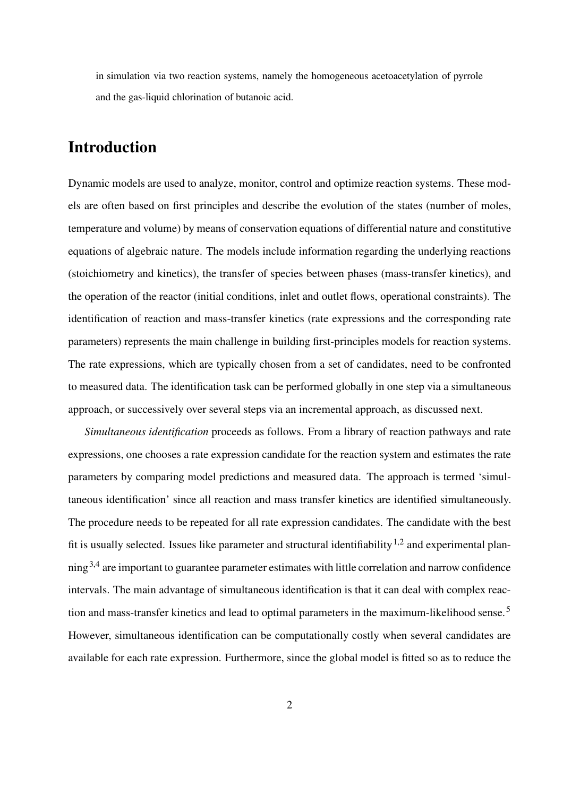in simulation via two reaction systems, namely the homogeneous acetoacetylation of pyrrole and the gas-liquid chlorination of butanoic acid.

# **Introduction**

Dynamic models are used to analyze, monitor, control and optimize reaction systems. These models are often based on first principles and describe the evolution of the states (number of moles, temperature and volume) by means of conservation equations of differential nature and constitutive equations of algebraic nature. The models include information regarding the underlying reactions (stoichiometry and kinetics), the transfer of species between phases (mass-transfer kinetics), and the operation of the reactor (initial conditions, inlet and outlet flows, operational constraints). The identification of reaction and mass-transfer kinetics (rate expressions and the corresponding rate parameters) represents the main challenge in building first-principles models for reaction systems. The rate expressions, which are typically chosen from a set of candidates, need to be confronted to measured data. The identification task can be performed globally in one step via a simultaneous approach, or successively over several steps via an incremental approach, as discussed next.

*Simultaneous identification* proceeds as follows. From a library of reaction pathways and rate expressions, one chooses a rate expression candidate for the reaction system and estimates the rate parameters by comparing model predictions and measured data. The approach is termed 'simultaneous identification' since all reaction and mass transfer kinetics are identified simultaneously. The procedure needs to be repeated for all rate expression candidates. The candidate with the best fit is usually selected. Issues like parameter and structural identifiability<sup>1,2</sup> and experimental planning3,4 are important to guarantee parameter estimates with little correlation and narrow confidence intervals. The main advantage of simultaneous identification is that it can deal with complex reaction and mass-transfer kinetics and lead to optimal parameters in the maximum-likelihood sense.<sup>5</sup> However, simultaneous identification can be computationally costly when several candidates are available for each rate expression. Furthermore, since the global model is fitted so as to reduce the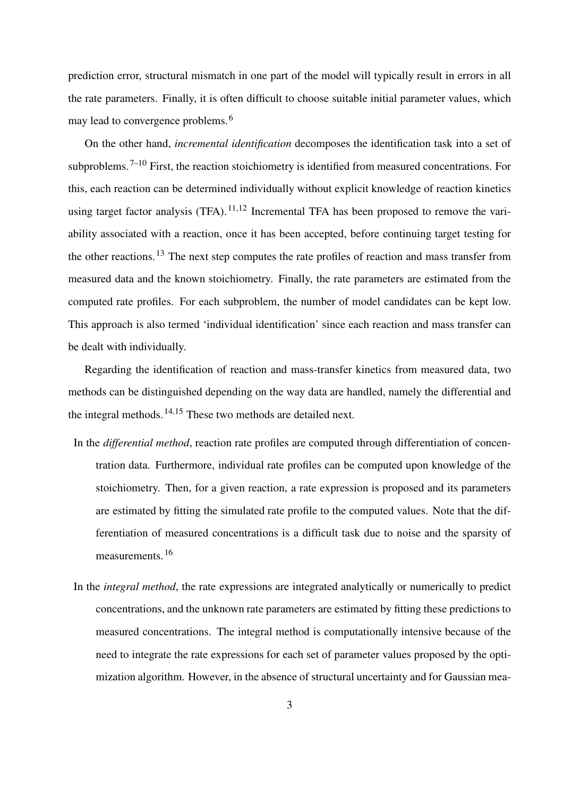prediction error, structural mismatch in one part of the model will typically result in errors in all the rate parameters. Finally, it is often difficult to choose suitable initial parameter values, which may lead to convergence problems.<sup>6</sup>

On the other hand, *incremental identification* decomposes the identification task into a set of subproblems.<sup>7–10</sup> First, the reaction stoichiometry is identified from measured concentrations. For this, each reaction can be determined individually without explicit knowledge of reaction kinetics using target factor analysis (TFA).<sup>11,12</sup> Incremental TFA has been proposed to remove the variability associated with a reaction, once it has been accepted, before continuing target testing for the other reactions.<sup>13</sup> The next step computes the rate profiles of reaction and mass transfer from measured data and the known stoichiometry. Finally, the rate parameters are estimated from the computed rate profiles. For each subproblem, the number of model candidates can be kept low. This approach is also termed 'individual identification' since each reaction and mass transfer can be dealt with individually.

Regarding the identification of reaction and mass-transfer kinetics from measured data, two methods can be distinguished depending on the way data are handled, namely the differential and the integral methods.14,15 These two methods are detailed next.

- In the *differential method*, reaction rate profiles are computed through differentiation of concentration data. Furthermore, individual rate profiles can be computed upon knowledge of the stoichiometry. Then, for a given reaction, a rate expression is proposed and its parameters are estimated by fitting the simulated rate profile to the computed values. Note that the differentiation of measured concentrations is a difficult task due to noise and the sparsity of measurements.<sup>16</sup>
- In the *integral method*, the rate expressions are integrated analytically or numerically to predict concentrations, and the unknown rate parameters are estimated by fitting these predictions to measured concentrations. The integral method is computationally intensive because of the need to integrate the rate expressions for each set of parameter values proposed by the optimization algorithm. However, in the absence of structural uncertainty and for Gaussian mea-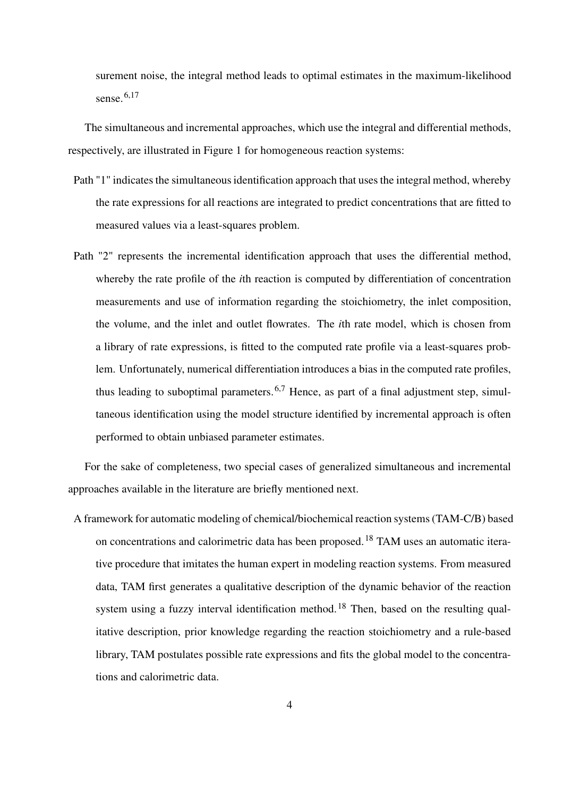surement noise, the integral method leads to optimal estimates in the maximum-likelihood sense.<sup>6,17</sup>

The simultaneous and incremental approaches, which use the integral and differential methods, respectively, are illustrated in Figure 1 for homogeneous reaction systems:

- Path "1" indicates the simultaneous identification approach that uses the integral method, whereby the rate expressions for all reactions are integrated to predict concentrations that are fitted to measured values via a least-squares problem.
- Path "2" represents the incremental identification approach that uses the differential method, whereby the rate profile of the *i*th reaction is computed by differentiation of concentration measurements and use of information regarding the stoichiometry, the inlet composition, the volume, and the inlet and outlet flowrates. The *i*th rate model, which is chosen from a library of rate expressions, is fitted to the computed rate profile via a least-squares problem. Unfortunately, numerical differentiation introduces a bias in the computed rate profiles, thus leading to suboptimal parameters.<sup>6,7</sup> Hence, as part of a final adjustment step, simultaneous identification using the model structure identified by incremental approach is often performed to obtain unbiased parameter estimates.

For the sake of completeness, two special cases of generalized simultaneous and incremental approaches available in the literature are briefly mentioned next.

A framework for automatic modeling of chemical/biochemical reaction systems (TAM-C/B) based on concentrations and calorimetric data has been proposed.<sup>18</sup> TAM uses an automatic iterative procedure that imitates the human expert in modeling reaction systems. From measured data, TAM first generates a qualitative description of the dynamic behavior of the reaction system using a fuzzy interval identification method.<sup>18</sup> Then, based on the resulting qualitative description, prior knowledge regarding the reaction stoichiometry and a rule-based library, TAM postulates possible rate expressions and fits the global model to the concentrations and calorimetric data.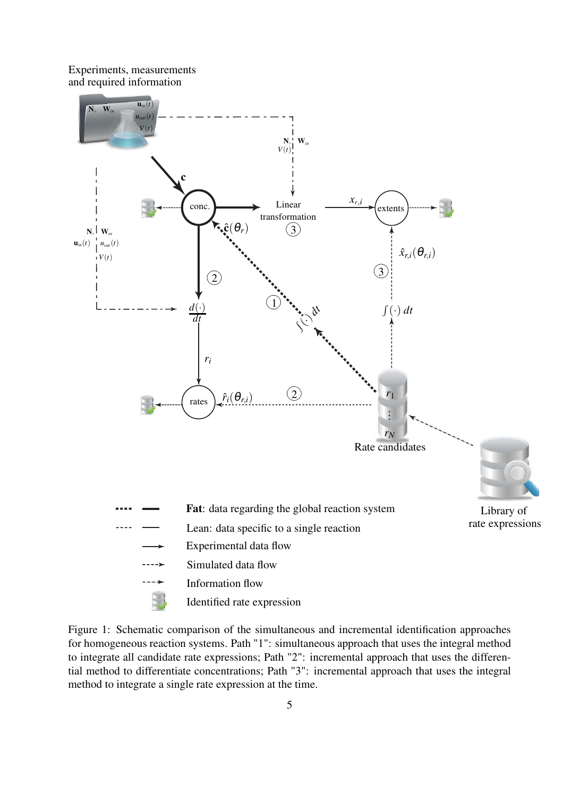Experiments, measurements and required information



Figure 1: Schematic comparison of the simultaneous and incremental identification approaches for homogeneous reaction systems. Path "1": simultaneous approach that uses the integral method to integrate all candidate rate expressions; Path "2": incremental approach that uses the differential method to differentiate concentrations; Path "3": incremental approach that uses the integral method to integrate a single rate expression at the time.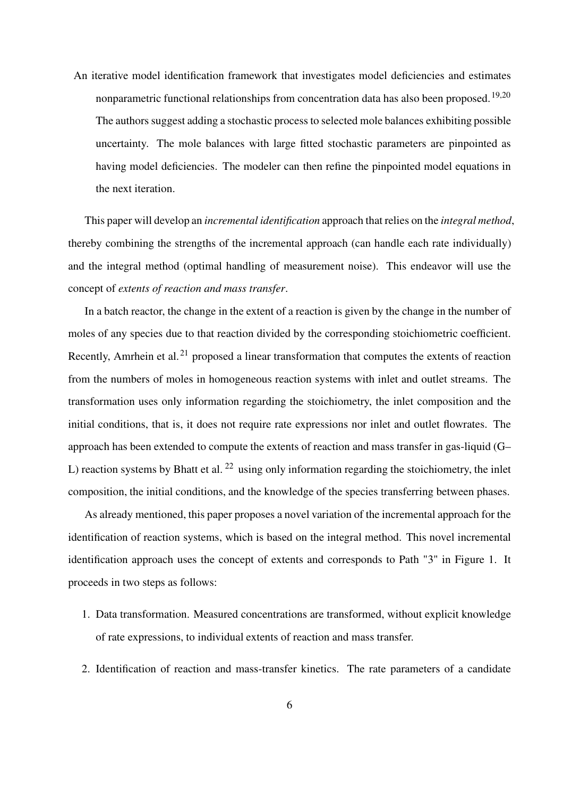An iterative model identification framework that investigates model deficiencies and estimates nonparametric functional relationships from concentration data has also been proposed.<sup>19,20</sup> The authors suggest adding a stochastic process to selected mole balances exhibiting possible uncertainty. The mole balances with large fitted stochastic parameters are pinpointed as having model deficiencies. The modeler can then refine the pinpointed model equations in the next iteration.

This paper will develop an *incremental identification* approach that relies on the *integral method*, thereby combining the strengths of the incremental approach (can handle each rate individually) and the integral method (optimal handling of measurement noise). This endeavor will use the concept of *extents of reaction and mass transfer*.

In a batch reactor, the change in the extent of a reaction is given by the change in the number of moles of any species due to that reaction divided by the corresponding stoichiometric coefficient. Recently, Amrhein et al.<sup>21</sup> proposed a linear transformation that computes the extents of reaction from the numbers of moles in homogeneous reaction systems with inlet and outlet streams. The transformation uses only information regarding the stoichiometry, the inlet composition and the initial conditions, that is, it does not require rate expressions nor inlet and outlet flowrates. The approach has been extended to compute the extents of reaction and mass transfer in gas-liquid (G– L) reaction systems by Bhatt et al.  $^{22}$  using only information regarding the stoichiometry, the inlet composition, the initial conditions, and the knowledge of the species transferring between phases.

As already mentioned, this paper proposes a novel variation of the incremental approach for the identification of reaction systems, which is based on the integral method. This novel incremental identification approach uses the concept of extents and corresponds to Path "3" in Figure 1. It proceeds in two steps as follows:

- 1. Data transformation. Measured concentrations are transformed, without explicit knowledge of rate expressions, to individual extents of reaction and mass transfer.
- 2. Identification of reaction and mass-transfer kinetics. The rate parameters of a candidate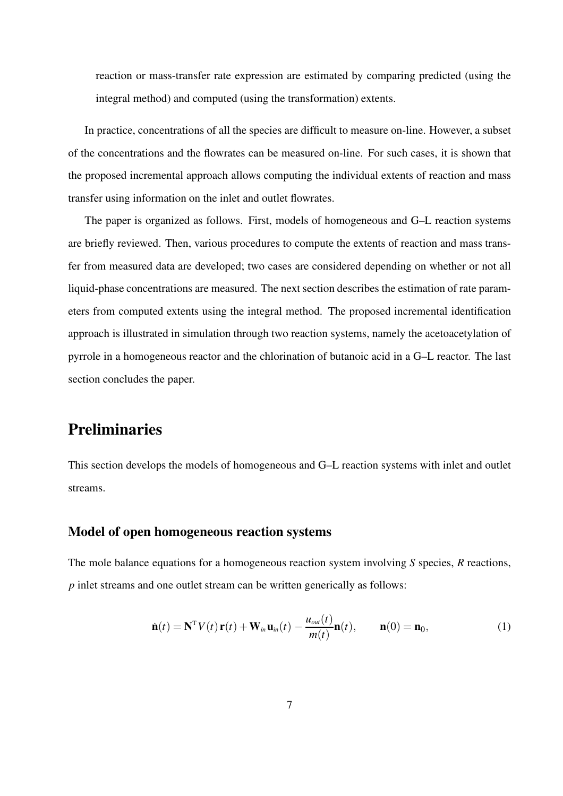reaction or mass-transfer rate expression are estimated by comparing predicted (using the integral method) and computed (using the transformation) extents.

In practice, concentrations of all the species are difficult to measure on-line. However, a subset of the concentrations and the flowrates can be measured on-line. For such cases, it is shown that the proposed incremental approach allows computing the individual extents of reaction and mass transfer using information on the inlet and outlet flowrates.

The paper is organized as follows. First, models of homogeneous and G–L reaction systems are briefly reviewed. Then, various procedures to compute the extents of reaction and mass transfer from measured data are developed; two cases are considered depending on whether or not all liquid-phase concentrations are measured. The next section describes the estimation of rate parameters from computed extents using the integral method. The proposed incremental identification approach is illustrated in simulation through two reaction systems, namely the acetoacetylation of pyrrole in a homogeneous reactor and the chlorination of butanoic acid in a G–L reactor. The last section concludes the paper.

### **Preliminaries**

This section develops the models of homogeneous and G–L reaction systems with inlet and outlet streams.

### **Model of open homogeneous reaction systems**

The mole balance equations for a homogeneous reaction system involving *S* species, *R* reactions, *p* inlet streams and one outlet stream can be written generically as follows:

$$
\dot{\mathbf{n}}(t) = \mathbf{N}^{\mathrm{T}} V(t) \mathbf{r}(t) + \mathbf{W}_{in} \mathbf{u}_{in}(t) - \frac{u_{out}(t)}{m(t)} \mathbf{n}(t), \qquad \mathbf{n}(0) = \mathbf{n}_0,
$$
\n(1)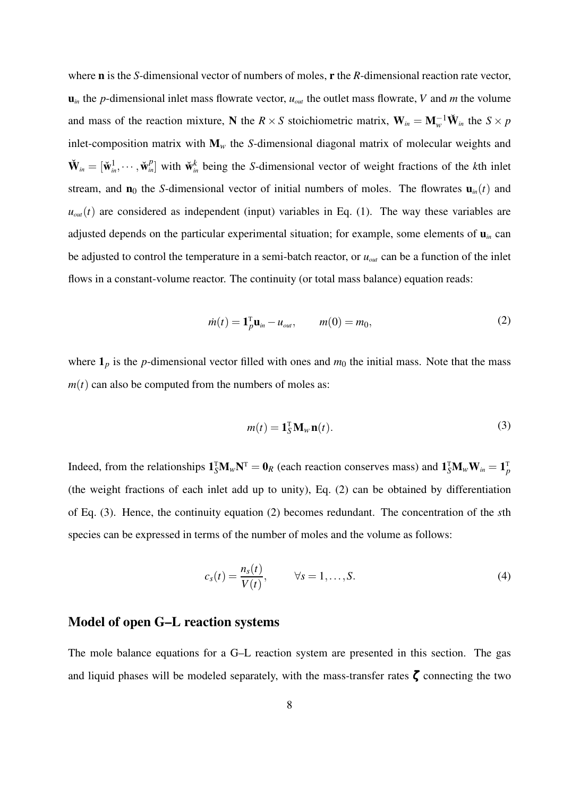where **n** is the *S*-dimensional vector of numbers of moles, **r** the *R*-dimensional reaction rate vector,  $\mathbf{u}_{in}$  the *p*-dimensional inlet mass flowrate vector,  $u_{out}$  the outlet mass flowrate, *V* and *m* the volume and mass of the reaction mixture, **N** the *R* × *S* stoichiometric matrix,  $\mathbf{W}_{in} = \mathbf{M}_{w}^{-1} \check{\mathbf{W}}_{in}$  the  $S \times p$ inlet-composition matrix with **M***<sup>w</sup>* the *S*-dimensional diagonal matrix of molecular weights and  $\check{\mathbf{W}}_{in} = [\check{\mathbf{w}}_{in}^1, \cdots, \check{\mathbf{w}}_{in}^p]$  with  $\check{\mathbf{w}}_{in}^k$  being the *S*-dimensional vector of weight fractions of the *k*th inlet stream, and  $\mathbf{n}_0$  the *S*-dimensional vector of initial numbers of moles. The flowrates  $\mathbf{u}_m(t)$  and  $u_{out}(t)$  are considered as independent (input) variables in Eq. (1). The way these variables are adjusted depends on the particular experimental situation; for example, some elements of  $\mathbf{u}_{in}$  can be adjusted to control the temperature in a semi-batch reactor, or *uout* can be a function of the inlet flows in a constant-volume reactor. The continuity (or total mass balance) equation reads:

$$
\dot{m}(t) = \mathbf{1}_p^{\mathrm{T}} \mathbf{u}_{in} - u_{out}, \qquad m(0) = m_0,
$$
 (2)

where  $\mathbf{1}_p$  is the *p*-dimensional vector filled with ones and  $m_0$  the initial mass. Note that the mass  $m(t)$  can also be computed from the numbers of moles as:

$$
m(t) = \mathbf{1}_S^{\mathrm{T}} \mathbf{M}_w \mathbf{n}(t).
$$
 (3)

Indeed, from the relationships  $1_S^T M_w N^T = 0_R$  (each reaction conserves mass) and  $1_S^T M_w W_{in} = 1_P^T$ (the weight fractions of each inlet add up to unity), Eq. (2) can be obtained by differentiation of Eq. (3). Hence, the continuity equation (2) becomes redundant. The concentration of the *s*th species can be expressed in terms of the number of moles and the volume as follows:

$$
c_s(t) = \frac{n_s(t)}{V(t)}, \qquad \forall s = 1, \dots, S.
$$
 (4)

### **Model of open G–L reaction systems**

The mole balance equations for a G–L reaction system are presented in this section. The gas and liquid phases will be modeled separately, with the mass-transfer rates  $\zeta$  connecting the two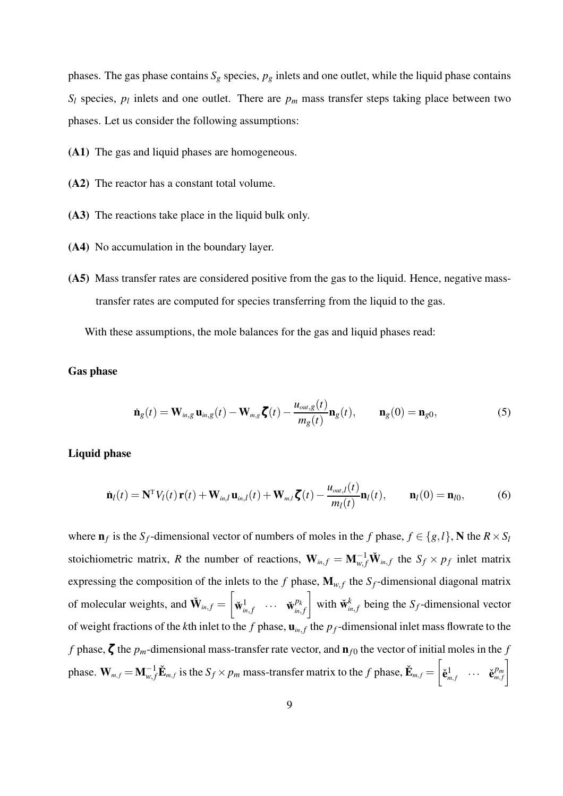phases. The gas phase contains  $S_g$  species,  $p_g$  inlets and one outlet, while the liquid phase contains  $S_l$  species,  $p_l$  inlets and one outlet. There are  $p_m$  mass transfer steps taking place between two phases. Let us consider the following assumptions:

- **(A1)** The gas and liquid phases are homogeneous.
- **(A2)** The reactor has a constant total volume.
- **(A3)** The reactions take place in the liquid bulk only.
- **(A4)** No accumulation in the boundary layer.
- **(A5)** Mass transfer rates are considered positive from the gas to the liquid. Hence, negative masstransfer rates are computed for species transferring from the liquid to the gas.

With these assumptions, the mole balances for the gas and liquid phases read:

#### **Gas phase**

$$
\dot{\mathbf{n}}_g(t) = \mathbf{W}_{in,g} \mathbf{u}_{in,g}(t) - \mathbf{W}_{m,g} \boldsymbol{\zeta}(t) - \frac{u_{out,g}(t)}{m_g(t)} \mathbf{n}_g(t), \qquad \mathbf{n}_g(0) = \mathbf{n}_{g0},
$$
\n(5)

#### **Liquid phase**

$$
\dot{\mathbf{n}}_l(t) = \mathbf{N}^{\mathrm{T}} V_l(t) \mathbf{r}(t) + \mathbf{W}_{in,l} \mathbf{u}_{in,l}(t) + \mathbf{W}_{m,l} \boldsymbol{\zeta}(t) - \frac{u_{out,l}(t)}{m_l(t)} \mathbf{n}_l(t), \qquad \mathbf{n}_l(0) = \mathbf{n}_{l0}, \tag{6}
$$

where  $\mathbf{n}_f$  is the *S<sub>f</sub>*-dimensional vector of numbers of moles in the *f* phase,  $f \in \{g, l\}$ , **N** the  $R \times S_l$ stoichiometric matrix, R the number of reactions,  $W_{in,f} = M_{w,f}^{-1} \check{W}_{in,f}$  the  $S_f \times p_f$  inlet matrix expressing the composition of the inlets to the *f* phase,  $\mathbf{M}_{w,f}$  the  $S_f$ -dimensional diagonal matrix of molecular weights, and  $\check{\mathbf{W}}_{in,f} =$  $\sqrt{ }$  $\check{\mathbf{w}}_{in,f}^1$   $\cdots$   $\check{\mathbf{w}}_{in,f}^{p_k}$ *in*, *f*  $\left[\begin{array}{c} \text{with } \check{\mathbf{w}}_i^k \end{array}\right]$  $\sum_{i=1}^{k}$  being the *S<sub>f</sub>*-dimensional vector of weight fractions of the *k*th inlet to the *f* phase,  $\mathbf{u}_{in,f}$  the  $p_f$ -dimensional inlet mass flowrate to the *f* phase,  $\zeta$  the  $p_m$ -dimensional mass-transfer rate vector, and  $\mathbf{n}_{f0}$  the vector of initial moles in the *f* phase.  $\mathbf{W}_{m,f} = \mathbf{M}_{w,f}^{-1} \check{\mathbf{E}}_{m,f}$  is the  $S_f \times p_m$  mass-transfer matrix to the  $f$  phase,  $\check{\mathbf{E}}_{m,f} = \left[ \begin{array}{c} 0 \ 0 \end{array} \right]$  $\check{\mathbf{e}}_{m,f}^1 \quad \cdots \quad \check{\mathbf{e}}_{m,f}^{p_m}$ 1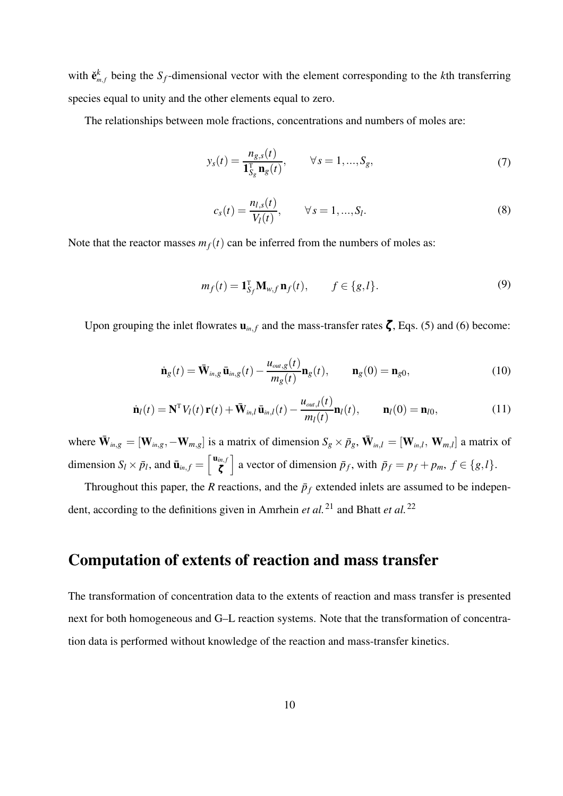with  $\check{\mathbf{e}}_{m,f}^k$  being the  $S_f$ -dimensional vector with the element corresponding to the *k*th transferring species equal to unity and the other elements equal to zero.

The relationships between mole fractions, concentrations and numbers of moles are:

$$
y_s(t) = \frac{n_{g,s}(t)}{\mathbf{1}_{S_g}^{\mathrm{T}} \mathbf{n}_g(t)}, \qquad \forall s = 1, ..., S_g,
$$
 (7)

$$
c_s(t) = \frac{n_{l,s}(t)}{V_l(t)}, \qquad \forall s = 1,...,S_l.
$$
 (8)

Note that the reactor masses  $m_f(t)$  can be inferred from the numbers of moles as:

$$
m_f(t) = \mathbf{1}_{S_f}^{\mathrm{T}} \mathbf{M}_{w,f} \mathbf{n}_f(t), \qquad f \in \{g, l\}.
$$
 (9)

Upon grouping the inlet flowrates  $\mathbf{u}_{in,f}$  and the mass-transfer rates  $\zeta$ , Eqs. (5) and (6) become:

$$
\dot{\mathbf{n}}_g(t) = \bar{\mathbf{W}}_{in,g} \bar{\mathbf{u}}_{in,g}(t) - \frac{u_{out,g}(t)}{m_g(t)} \mathbf{n}_g(t), \qquad \mathbf{n}_g(0) = \mathbf{n}_{g0}, \qquad (10)
$$

$$
\dot{\mathbf{n}}_l(t) = \mathbf{N}^{\mathrm{T}} V_l(t) \mathbf{r}(t) + \bar{\mathbf{W}}_{in,l} \bar{\mathbf{u}}_{in,l}(t) - \frac{u_{out,l}(t)}{m_l(t)} \mathbf{n}_l(t), \qquad \mathbf{n}_l(0) = \mathbf{n}_{l0}, \qquad (11)
$$

where  $\bar{\mathbf{W}}_{m,g} = [\mathbf{W}_{m,g}, -\mathbf{W}_{m,g}]$  is a matrix of dimension  $S_g \times \bar{p}_g$ ,  $\bar{\mathbf{W}}_{m,l} = [\mathbf{W}_{m,l}, \mathbf{W}_{m,l}]$  a matrix of dimension  $S_l \times \bar{p}_l$ , and  $\bar{\mathbf{u}}_{in,f} = \begin{bmatrix} \mathbf{u}_{in,f} \\ \zeta \end{bmatrix}$  $\left[\int_{\zeta}^{in,f} \right]$  a vector of dimension  $\bar{p}_f$ , with  $\bar{p}_f = p_f + p_m$ ,  $f \in \{g, l\}.$ 

Throughout this paper, the *R* reactions, and the  $\bar{p}_f$  extended inlets are assumed to be independent, according to the definitions given in Amrhein *et al.*<sup>21</sup> and Bhatt *et al.*<sup>22</sup>

# **Computation of extents of reaction and mass transfer**

The transformation of concentration data to the extents of reaction and mass transfer is presented next for both homogeneous and G–L reaction systems. Note that the transformation of concentration data is performed without knowledge of the reaction and mass-transfer kinetics.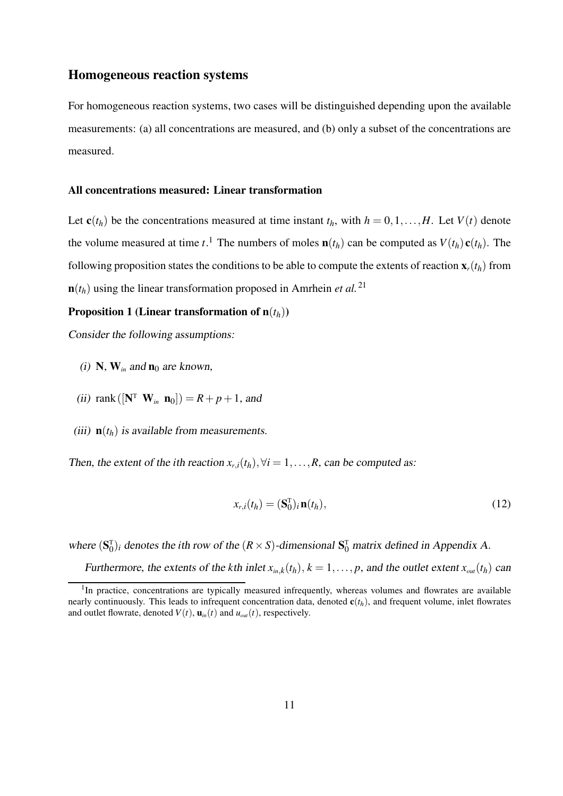### **Homogeneous reaction systems**

For homogeneous reaction systems, two cases will be distinguished depending upon the available measurements: (a) all concentrations are measured, and (b) only a subset of the concentrations are measured.

#### **All concentrations measured: Linear transformation**

Let  $\mathbf{c}(t_h)$  be the concentrations measured at time instant  $t_h$ , with  $h = 0, 1, \ldots, H$ . Let  $V(t)$  denote the volume measured at time *t*.<sup>1</sup> The numbers of moles  $\mathbf{n}(t_h)$  can be computed as  $V(t_h) \mathbf{c}(t_h)$ . The following proposition states the conditions to be able to compute the extents of reaction  $\mathbf{x}_r(t_h)$  from  **using the linear transformation proposed in Amrhein** *et al.***<sup>21</sup>** 

#### **Proposition 1 (Linear transformation of**  $n(t_h)$ **)**

Consider the following assumptions:

- (i) **N**,  $W_{in}$  and  $n_0$  are known,
- (*ii*) rank ( $[N^T \ W_{in} \ n_0]$ ) =  $R + p + 1$ , and
- (iii)  $\mathbf{n}(t_h)$  is available from measurements.

Then, the extent of the *i*th reaction  $x_{r,i}(t_h)$ ,  $\forall i = 1,...,R$ , can be computed as:

$$
x_{r,i}(t_h) = (\mathbf{S}_0^{\mathrm{T}})_{i} \mathbf{n}(t_h), \qquad (12)
$$

where  $(\mathbf{S}_0^T)_i$  denotes the *i*th row of the  $(R \times S)$ -dimensional  $\mathbf{S}_0^T$  matrix defined in Appendix A. Furthermore, the extents of the *k*th inlet  $x_{in,k}(t_h)$ ,  $k = 1, \ldots, p$ , and the outlet extent  $x_{out}(t_h)$  can

<sup>&</sup>lt;sup>1</sup>In practice, concentrations are typically measured infrequently, whereas volumes and flowrates are available

nearly continuously. This leads to infrequent concentration data, denoted  $\mathbf{c}(t_h)$ , and frequent volume, inlet flowrates and outlet flowrate, denoted  $V(t)$ ,  $\mathbf{u}_{in}(t)$  and  $u_{out}(t)$ , respectively.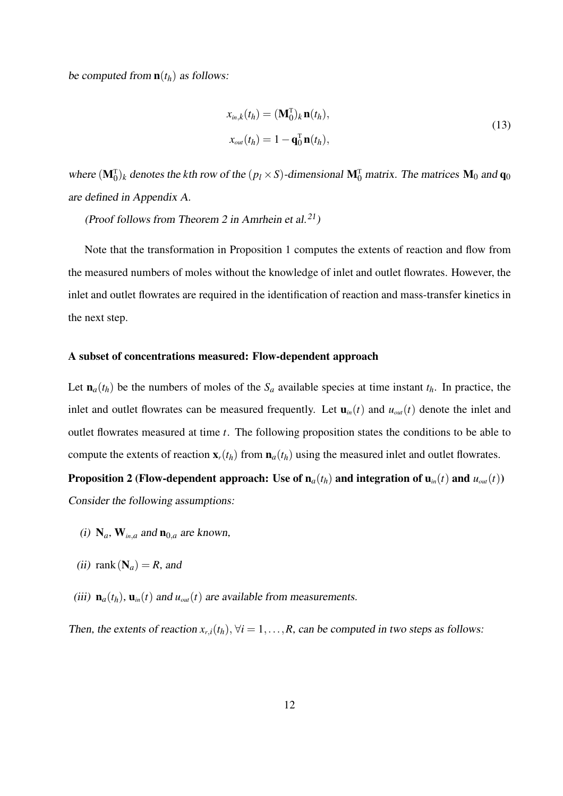be computed from  $\mathbf{n}(t_h)$  as follows:

$$
x_{in,k}(t_h) = (\mathbf{M}_0^{\mathrm{T}})_k \mathbf{n}(t_h),
$$
  
\n
$$
x_{out}(t_h) = 1 - \mathbf{q}_0^{\mathrm{T}} \mathbf{n}(t_h),
$$
\n(13)

where  $(\mathbf{M}_{0}^{T})_k$  denotes the *k*th row of the  $(p_l \times S)$ -dimensional  $\mathbf{M}_{0}^{T}$  matrix. The matrices  $\mathbf{M}_{0}$  and  $\mathbf{q}_{0}$ are defined in Appendix A.

(Proof follows from Theorem 2 in Amrhein et al.<sup>21</sup>)

Note that the transformation in Proposition 1 computes the extents of reaction and flow from the measured numbers of moles without the knowledge of inlet and outlet flowrates. However, the inlet and outlet flowrates are required in the identification of reaction and mass-transfer kinetics in the next step.

#### **A subset of concentrations measured: Flow-dependent approach**

Let  $\mathbf{n}_a(t_h)$  be the numbers of moles of the  $S_a$  available species at time instant  $t_h$ . In practice, the inlet and outlet flowrates can be measured frequently. Let  $\mathbf{u}_{in}(t)$  and  $u_{out}(t)$  denote the inlet and outlet flowrates measured at time *t*. The following proposition states the conditions to be able to compute the extents of reaction  $\mathbf{x}_r(t_h)$  from  $\mathbf{n}_a(t_h)$  using the measured inlet and outlet flowrates.

**Proposition 2** (Flow-dependent approach: Use of  $n_a(t_h)$  and integration of  $u_{in}(t)$  and  $u_{out}(t)$ ) Consider the following assumptions:

- (i)  $N_a$ ,  $W_{in,a}$  and  $n_{0,a}$  are known,
- (ii) rank  $(N_a) = R$ , and
- (iii)  $\mathbf{n}_a(t_h)$ ,  $\mathbf{u}_{in}(t)$  and  $u_{out}(t)$  are available from measurements.

Then, the extents of reaction  $x_{r,i}(t_h)$ ,  $\forall i = 1, \ldots, R$ , can be computed in two steps as follows: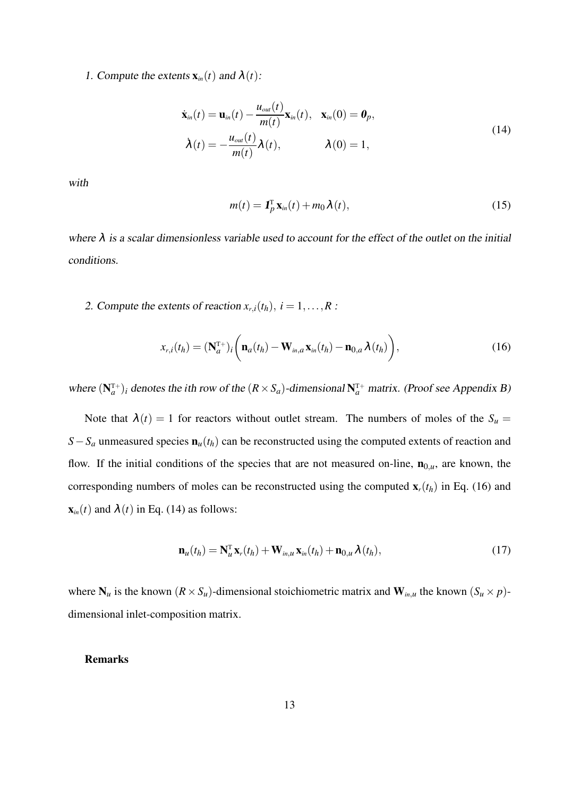1. Compute the extents  $\mathbf{x}_{in}(t)$  and  $\lambda(t)$ :

$$
\dot{\mathbf{x}}_{in}(t) = \mathbf{u}_{in}(t) - \frac{u_{out}(t)}{m(t)} \mathbf{x}_{in}(t), \quad \mathbf{x}_{in}(0) = \mathbf{0}_p,
$$
\n
$$
\dot{\lambda}(t) = -\frac{u_{out}(t)}{m(t)} \lambda(t), \qquad \lambda(0) = 1,
$$
\n(14)

with

$$
m(t) = \mathbf{1}_p^{\mathrm{T}} \mathbf{x}_{in}(t) + m_0 \lambda(t), \qquad (15)
$$

where  $\lambda$  is a scalar dimensionless variable used to account for the effect of the outlet on the initial conditions.

2. Compute the extents of reaction  $x_{r,i}(t_h)$ ,  $i = 1, \ldots, R$ :

$$
x_{r,i}(t_h) = (\mathbf{N}_a^{\mathrm{T}+})_i \bigg( \mathbf{n}_a(t_h) - \mathbf{W}_{in,a} \mathbf{x}_{in}(t_h) - \mathbf{n}_{0,a} \lambda(t_h) \bigg), \qquad (16)
$$

where  $(N_a^{T+})$  *i* denotes the *i*th row of the  $(R \times S_a)$ -dimensional  $N_a^{T+}$  matrix. (Proof see Appendix B)

Note that  $\lambda(t) = 1$  for reactors without outlet stream. The numbers of moles of the  $S_u$ *S*−*S*<sup>*a*</sup> unmeasured species  $\mathbf{n}_u(t_h)$  can be reconstructed using the computed extents of reaction and flow. If the initial conditions of the species that are not measured on-line,  $\mathbf{n}_{0,u}$ , are known, the corresponding numbers of moles can be reconstructed using the computed  $\mathbf{x}_r(t_h)$  in Eq. (16) and  $\mathbf{x}_{in}(t)$  and  $\lambda(t)$  in Eq. (14) as follows:

$$
\mathbf{n}_{u}(t_{h}) = \mathbf{N}_{u}^{\mathrm{T}} \mathbf{x}_{r}(t_{h}) + \mathbf{W}_{in,u} \mathbf{x}_{in}(t_{h}) + \mathbf{n}_{0,u} \lambda(t_{h}), \qquad (17)
$$

where  $N_u$  is the known  $(R \times S_u)$ -dimensional stoichiometric matrix and  $W_{i n, u}$  the known  $(S_u \times p)$ dimensional inlet-composition matrix.

### **Remarks**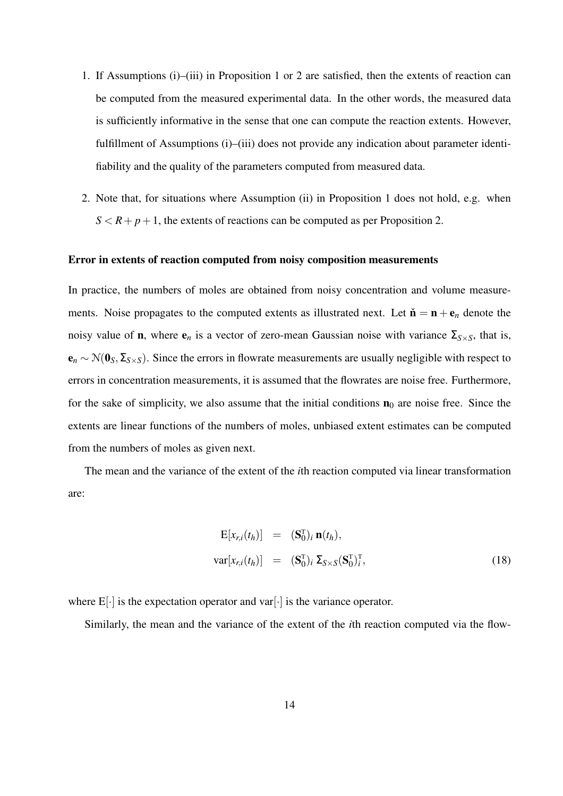- 1. If Assumptions (i)–(iii) in Proposition 1 or 2 are satisfied, then the extents of reaction can be computed from the measured experimental data. In the other words, the measured data is sufficiently informative in the sense that one can compute the reaction extents. However, fulfillment of Assumptions (i)–(iii) does not provide any indication about parameter identifiability and the quality of the parameters computed from measured data.
- 2. Note that, for situations where Assumption (ii) in Proposition 1 does not hold, e.g. when  $S < R+p+1$ , the extents of reactions can be computed as per Proposition 2.

#### **Error in extents of reaction computed from noisy composition measurements**

In practice, the numbers of moles are obtained from noisy concentration and volume measurements. Noise propagates to the computed extents as illustrated next. Let  $\check{\bf{n}} = {\bf{n}} + {\bf{e}}_n$  denote the noisy value of **n**, where  $e_n$  is a vector of zero-mean Gaussian noise with variance  $\Sigma_{S\times S}$ , that is, **<sup>e</sup>***<sup>n</sup>* <sup>∼</sup> <sup>N</sup>(**0***S*,Σ*S*×*S*). Since the errors in flowrate measurements are usually negligible with respect to errors in concentration measurements, it is assumed that the flowrates are noise free. Furthermore, for the sake of simplicity, we also assume that the initial conditions  $\mathbf{n}_0$  are noise free. Since the extents are linear functions of the numbers of moles, unbiased extent estimates can be computed from the numbers of moles as given next.

The mean and the variance of the extent of the *i*th reaction computed via linear transformation are:

$$
\begin{array}{rcl}\n\mathbf{E}[x_{r,i}(t_h)] & = & (\mathbf{S}_0^{\mathrm{T}})_i \, \mathbf{n}(t_h), \\
\text{var}[x_{r,i}(t_h)] & = & (\mathbf{S}_0^{\mathrm{T}})_i \, \mathbf{\Sigma}_{S \times S} (\mathbf{S}_0^{\mathrm{T}})_i^{\mathrm{T}},\n\end{array} \tag{18}
$$

where  $E[\cdot]$  is the expectation operator and var $[\cdot]$  is the variance operator.

Similarly, the mean and the variance of the extent of the *i*th reaction computed via the flow-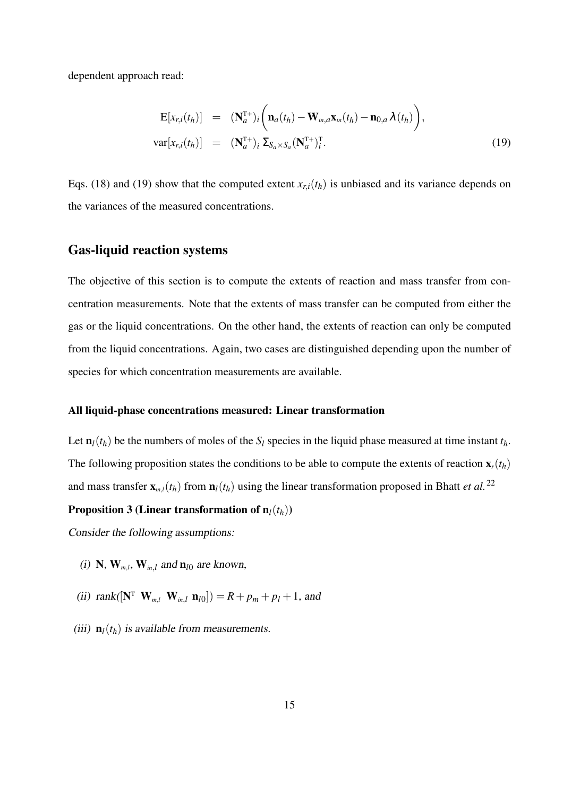dependent approach read:

$$
\begin{array}{rcl}\n\mathbf{E}[x_{r,i}(t_h)] & = & (\mathbf{N}_a^{\mathrm{T}+})_i \bigg( \mathbf{n}_a(t_h) - \mathbf{W}_{in,a} \mathbf{x}_{in}(t_h) - \mathbf{n}_{0,a} \lambda(t_h) \bigg), \\
\text{var}[x_{r,i}(t_h)] & = & (\mathbf{N}_a^{\mathrm{T}+})_i \, \Sigma_{S_a \times S_a} (\mathbf{N}_a^{\mathrm{T}+})_i^{\mathrm{T}}.\n\end{array} \tag{19}
$$

Eqs. (18) and (19) show that the computed extent  $x_{r,i}(t_h)$  is unbiased and its variance depends on the variances of the measured concentrations.

### **Gas-liquid reaction systems**

The objective of this section is to compute the extents of reaction and mass transfer from concentration measurements. Note that the extents of mass transfer can be computed from either the gas or the liquid concentrations. On the other hand, the extents of reaction can only be computed from the liquid concentrations. Again, two cases are distinguished depending upon the number of species for which concentration measurements are available.

#### **All liquid-phase concentrations measured: Linear transformation**

Let  $\mathbf{n}_l(t_h)$  be the numbers of moles of the  $S_l$  species in the liquid phase measured at time instant  $t_h$ . The following proposition states the conditions to be able to compute the extents of reaction  $\mathbf{x}_r(t_h)$ and mass transfer  $\mathbf{x}_{m,l}(t_h)$  from  $\mathbf{n}_l(t_h)$  using the linear transformation proposed in Bhatt *et al.*<sup>22</sup>

#### **Proposition 3 (Linear transformation of**  $n_l(t_h)$ **)**

Consider the following assumptions:

- (i) **N**,  $\mathbf{W}_{m,l}$ ,  $\mathbf{W}_{in,l}$  and  $\mathbf{n}_{l0}$  are known,
- (ii) rank( $[N^T \mathbf{W}_{m,l} \mathbf{W}_{in,l} \mathbf{n}_{l0}]$ ) =  $R + p_m + p_l + 1$ , and
- (iii)  $\mathbf{n}_l(t_h)$  is available from measurements.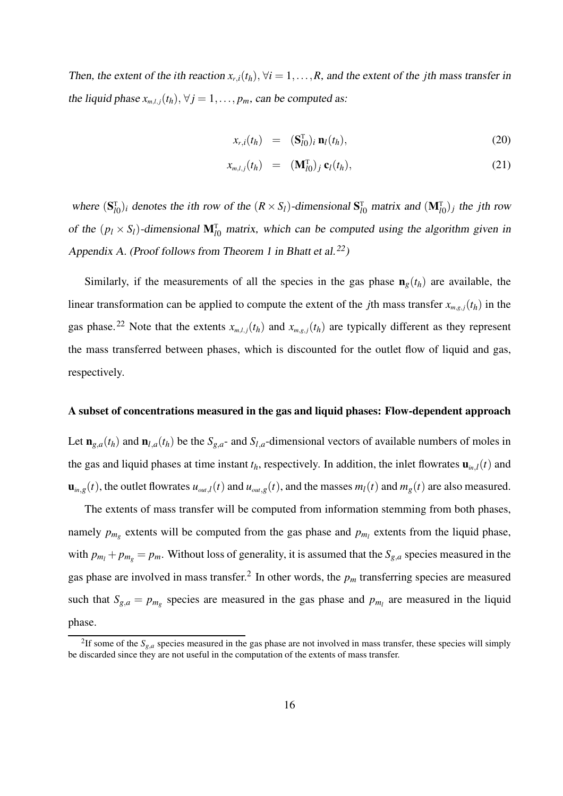Then, the extent of the *i*th reaction  $x_{r,i}(t_h)$ ,  $\forall i = 1, \ldots, R$ , and the extent of the *j*th mass transfer in the liquid phase  $x_{m,l,j}(t_h)$ ,  $\forall j = 1, \ldots, p_m$ , can be computed as:

$$
x_{r,i}(t_h) = (\mathbf{S}_{l0}^{\mathrm{T}})_{i} \mathbf{n}_l(t_h), \qquad (20)
$$

$$
x_{m,l,j}(t_h) = (\mathbf{M}_{l0}^{\mathrm{T}})_{j} \mathbf{c}_l(t_h), \qquad (21)
$$

where  $(S_{l0}^T)_i$  denotes the *i*th row of the  $(R \times S_l)$ -dimensional  $S_{l0}^T$  matrix and  $(M_{l0}^T)_j$  the *j*th row of the  $(p_l \times S_l)$ -dimensional  $M_{l0}^T$  matrix, which can be computed using the algorithm given in Appendix A. (Proof follows from Theorem 1 in Bhatt et al.<sup>22</sup>)

Similarly, if the measurements of all the species in the gas phase  $\mathbf{n}_g(t_h)$  are available, the linear transformation can be applied to compute the extent of the *j*th mass transfer  $x_{m,g,j}(t_h)$  in the gas phase.<sup>22</sup> Note that the extents  $x_{m,l,j}(t_h)$  and  $x_{m,g,j}(t_h)$  are typically different as they represent the mass transferred between phases, which is discounted for the outlet flow of liquid and gas, respectively.

#### **A subset of concentrations measured in the gas and liquid phases: Flow-dependent approach**

Let  $\mathbf{n}_{g,a}(t_h)$  and  $\mathbf{n}_{l,a}(t_h)$  be the  $S_{g,a}$ - and  $S_{l,a}$ -dimensional vectors of available numbers of moles in the gas and liquid phases at time instant  $t_h$ , respectively. In addition, the inlet flowrates  $\mathbf{u}_{in,l}(t)$  and  $\mathbf{u}_{in,g}(t)$ , the outlet flowrates  $u_{out,l}(t)$  and  $u_{out,g}(t)$ , and the masses  $m_l(t)$  and  $m_g(t)$  are also measured.

The extents of mass transfer will be computed from information stemming from both phases, namely  $p_{m_g}$  extents will be computed from the gas phase and  $p_{m_l}$  extents from the liquid phase, with  $p_{m_l} + p_{m_g} = p_m$ . Without loss of generality, it is assumed that the  $S_{g,a}$  species measured in the gas phase are involved in mass transfer.<sup>2</sup> In other words, the  $p_m$  transferring species are measured such that  $S_{g,a} = p_{m_g}$  species are measured in the gas phase and  $p_{m_l}$  are measured in the liquid phase.

<sup>&</sup>lt;sup>2</sup>If some of the  $S_{g,a}$  species measured in the gas phase are not involved in mass transfer, these species will simply be discarded since they are not useful in the computation of the extents of mass transfer.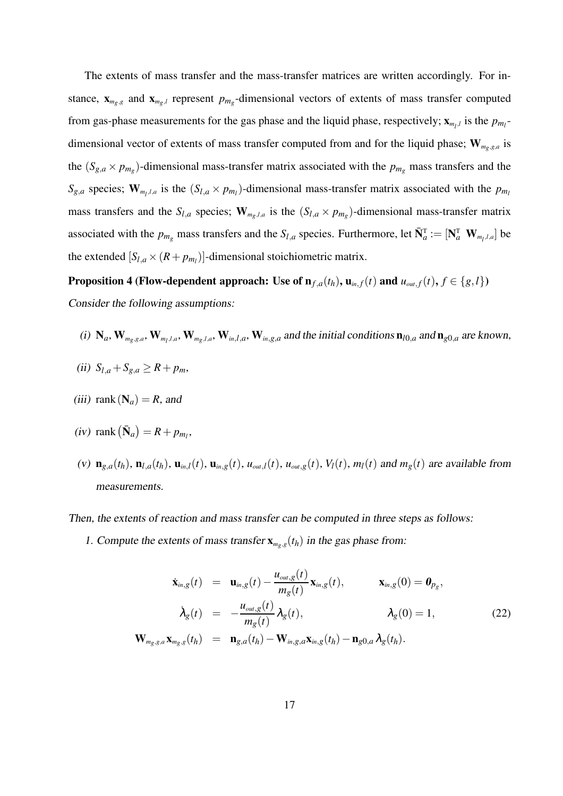The extents of mass transfer and the mass-transfer matrices are written accordingly. For instance,  $\mathbf{x}_{m_g,g}$  and  $\mathbf{x}_{m_g,l}$  represent  $p_{m_g}$ -dimensional vectors of extents of mass transfer computed from gas-phase measurements for the gas phase and the liquid phase, respectively;  $\mathbf{x}_{m_l,l}$  is the  $p_{m_l}$ dimensional vector of extents of mass transfer computed from and for the liquid phase; **W***mg*,*g*,*<sup>a</sup>* is the  $(S_{g,a} \times p_{m_g})$ -dimensional mass-transfer matrix associated with the  $p_{m_g}$  mass transfers and the  $S_{g,a}$  species;  $\mathbf{W}_{m_l,l,a}$  is the  $(S_{l,a} \times p_{m_l})$ -dimensional mass-transfer matrix associated with the  $p_{m_l}$ mass transfers and the  $S_{l,a}$  species;  $\mathbf{W}_{m_g,l,a}$  is the  $(S_{l,a} \times p_{m_g})$ -dimensional mass-transfer matrix associated with the  $p_{m_g}$  mass transfers and the  $S_{l,a}$  species. Furthermore, let  $\bar{N}_a^T := [\mathbf{N}_a^T \ \mathbf{W}_{m_l,l,a}]$  be the extended  $[S_{l,a} \times (R + p_{m_l})]$ -dimensional stoichiometric matrix.

**Proposition 4 (Flow-dependent approach:** Use of  $\mathbf{n}_{f,a}(t_h)$ ,  $\mathbf{u}_{in,f}(t)$  and  $u_{out,f}(t)$ ,  $f \in \{g, l\}$ ) Consider the following assumptions:

- (i)  $N_a$ ,  $W_{m_g,g,a}$ ,  $W_{m_l,l,a}$ ,  $W_{m_g,l,a}$ ,  $W_{in,l,a}$ ,  $W_{in,g,a}$  and the initial conditions  $n_{l0,a}$  and  $n_{g0,a}$  are known,
- (ii)  $S_{l,a} + S_{g,a} \geq R + p_m$
- (iii) rank  $(N_a) = R$ , and
- $(iv)$  rank  $(\bar{\mathbf{N}}_a) = R + p_{m_l}$ ,
- (v)  $\mathbf{n}_{g,a}(t_h)$ ,  $\mathbf{n}_{l,a}(t_h)$ ,  $\mathbf{u}_{in,l}(t)$ ,  $\mathbf{u}_{in,g}(t)$ ,  $u_{out,l}(t)$ ,  $u_{out,g}(t)$ ,  $V_l(t)$ ,  $m_l(t)$  and  $m_g(t)$  are available from measurements.

Then, the extents of reaction and mass transfer can be computed in three steps as follows:

1. Compute the extents of mass transfer  $\mathbf{x}_{m_g,g}(t_h)$  in the gas phase from:

$$
\dot{\mathbf{x}}_{in,g}(t) = \mathbf{u}_{in,g}(t) - \frac{u_{out,g}(t)}{m_g(t)} \mathbf{x}_{in,g}(t), \qquad \mathbf{x}_{in,g}(0) = \mathbf{0}_{p_g},
$$
\n
$$
\dot{\lambda}_g(t) = -\frac{u_{out,g}(t)}{m_g(t)} \lambda_g(t), \qquad \lambda_g(0) = 1,
$$
\n
$$
\mathbf{W}_{m_g,g,a} \mathbf{x}_{m_g,g}(t_h) = \mathbf{n}_{g,a}(t_h) - \mathbf{W}_{in,g,a} \mathbf{x}_{in,g}(t_h) - \mathbf{n}_{g0,a} \lambda_g(t_h).
$$
\n(22)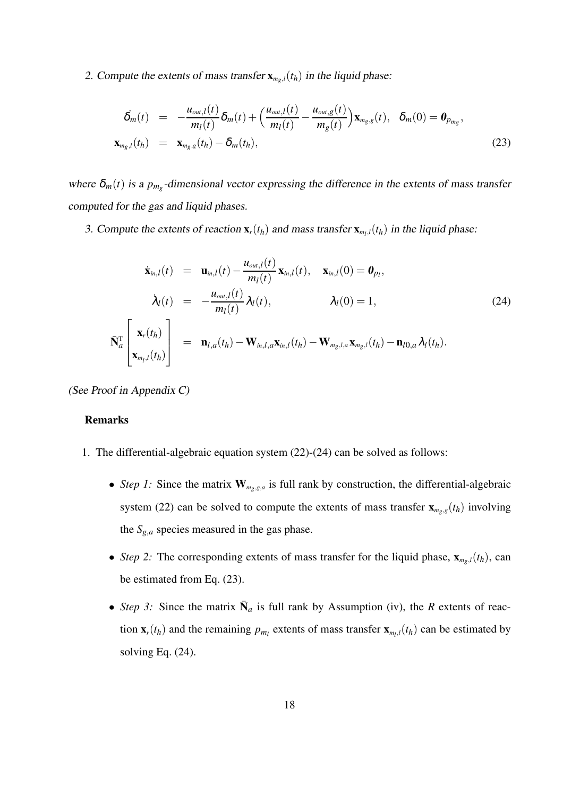2. Compute the extents of mass transfer  $\mathbf{x}_{m_g,l}(t_h)$  in the liquid phase:

$$
\dot{\delta}_{m}(t) = -\frac{u_{out,l}(t)}{m_{l}(t)}\delta_{m}(t) + \left(\frac{u_{out,l}(t)}{m_{l}(t)} - \frac{u_{out,g}(t)}{m_{g}(t)}\right)\mathbf{x}_{m_{g},g}(t), \quad \delta_{m}(0) = \mathbf{0}_{p_{m_{g}}},
$$
\n
$$
\mathbf{x}_{m_{g},l}(t_{h}) = \mathbf{x}_{m_{g},g}(t_{h}) - \delta_{m}(t_{h}),
$$
\n(23)

where  $\delta_m(t)$  is a  $p_{m_g}$ -dimensional vector expressing the difference in the extents of mass transfer computed for the gas and liquid phases.

3. Compute the extents of reaction  $\mathbf{x}_r(t_h)$  and mass transfer  $\mathbf{x}_{m_l,l}(t_h)$  in the liquid phase:

$$
\dot{\mathbf{x}}_{in,l}(t) = \mathbf{u}_{in,l}(t) - \frac{u_{out,l}(t)}{m_l(t)} \mathbf{x}_{in,l}(t), \quad \mathbf{x}_{in,l}(0) = \mathbf{0}_{p_l},
$$
\n
$$
\dot{\lambda}_l(t) = -\frac{u_{out,l}(t)}{m_l(t)} \lambda_l(t), \qquad \lambda_l(0) = 1,
$$
\n(24)\n
$$
\bar{\mathbf{N}}_a^{\mathrm{T}} \begin{bmatrix} \mathbf{x}_r(t_h) \\ \mathbf{x}_{m_l,l}(t_h) \end{bmatrix} = \mathbf{n}_{l,a}(t_h) - \mathbf{W}_{in,l,a} \mathbf{x}_{in,l}(t_h) - \mathbf{W}_{m_g,l,a} \mathbf{x}_{m_g,l}(t_h) - \mathbf{n}_{l0,a} \lambda_l(t_h).
$$

(See Proof in Appendix C)

### **Remarks**

- 1. The differential-algebraic equation system (22)-(24) can be solved as follows:
	- *Step 1:* Since the matrix  $W_{m_g, g, a}$  is full rank by construction, the differential-algebraic system (22) can be solved to compute the extents of mass transfer  $\mathbf{x}_{m_g,g}(t_h)$  involving the  $S_{g,a}$  species measured in the gas phase.
	- *Step 2:* The corresponding extents of mass transfer for the liquid phase,  $\mathbf{x}_{m_g,l}(t_h)$ , can be estimated from Eq. (23).
	- *Step 3:* Since the matrix  $\bar{N}_a$  is full rank by Assumption (iv), the *R* extents of reaction  $\mathbf{x}_r(t_h)$  and the remaining  $p_{m_l}$  extents of mass transfer  $\mathbf{x}_{m_l,l}(t_h)$  can be estimated by solving Eq. (24).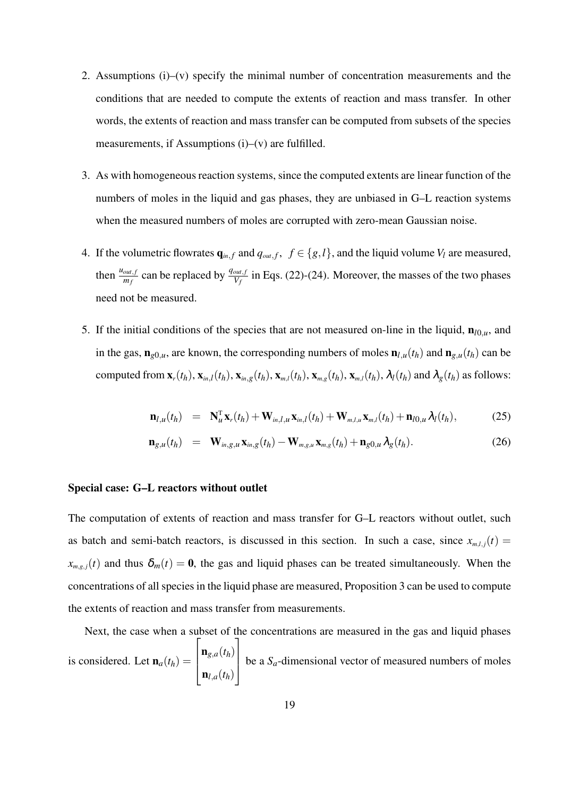- 2. Assumptions (i)–(v) specify the minimal number of concentration measurements and the conditions that are needed to compute the extents of reaction and mass transfer. In other words, the extents of reaction and mass transfer can be computed from subsets of the species measurements, if Assumptions  $(i)$ – $(v)$  are fulfilled.
- 3. As with homogeneous reaction systems, since the computed extents are linear function of the numbers of moles in the liquid and gas phases, they are unbiased in G–L reaction systems when the measured numbers of moles are corrupted with zero-mean Gaussian noise.
- 4. If the volumetric flowrates  $\mathbf{q}_{in,f}$  and  $q_{out,f}$ ,  $f \in \{g, l\}$ , and the liquid volume  $V_l$  are measured, then  $\frac{u_{out,f}}{m_f}$  can be replaced by  $\frac{q_{out,f}}{V_f}$  in Eqs. (22)-(24). Moreover, the masses of the two phases need not be measured.
- 5. If the initial conditions of the species that are not measured on-line in the liquid,  $\mathbf{n}_{l0,u}$ , and in the gas,  $\mathbf{n}_{g0,u}$ , are known, the corresponding numbers of moles  $\mathbf{n}_{l,u}(t_h)$  and  $\mathbf{n}_{g,u}(t_h)$  can be computed from  $\mathbf{x}_r(t_h)$ ,  $\mathbf{x}_{m,l}(t_h)$ ,  $\mathbf{x}_{m,g}(t_h)$ ,  $\mathbf{x}_{m,l}(t_h)$ ,  $\mathbf{x}_{m,g}(t_h)$ ,  $\mathbf{x}_{m,l}(t_h)$ ,  $\lambda_l(t_h)$  and  $\lambda_g(t_h)$  as follows:

$$
\mathbf{n}_{l,u}(t_h) = \mathbf{N}_{u}^{\mathrm{T}} \mathbf{x}_{r}(t_h) + \mathbf{W}_{in,l,u} \mathbf{x}_{in,l}(t_h) + \mathbf{W}_{m,l,u} \mathbf{x}_{m,l}(t_h) + \mathbf{n}_{l0,u} \lambda_l(t_h), \qquad (25)
$$

$$
\mathbf{n}_{g,u}(t_h) = \mathbf{W}_{in,g,u}\mathbf{x}_{in,g}(t_h) - \mathbf{W}_{m,g,u}\mathbf{x}_{m,g}(t_h) + \mathbf{n}_{g0,u}\lambda_g(t_h). \tag{26}
$$

#### **Special case: G–L reactors without outlet**

The computation of extents of reaction and mass transfer for G–L reactors without outlet, such as batch and semi-batch reactors, is discussed in this section. In such a case, since  $x_{m,l,j}(t)$  =  $x_{m,g,j}(t)$  and thus  $\delta_m(t) = 0$ , the gas and liquid phases can be treated simultaneously. When the concentrations of all species in the liquid phase are measured, Proposition 3 can be used to compute the extents of reaction and mass transfer from measurements.

Next, the case when a subset of the concentrations are measured in the gas and liquid phases is considered. Let  $\mathbf{n}_a(t_h) =$  $\sqrt{ }$  $\vert$  $\mathbf{n}_{g,a}(t_h)$  $\mathbf{n}_{l,a}(t_h)$ 1  $\mathbf{r}$ be a  $S_a$ -dimensional vector of measured numbers of moles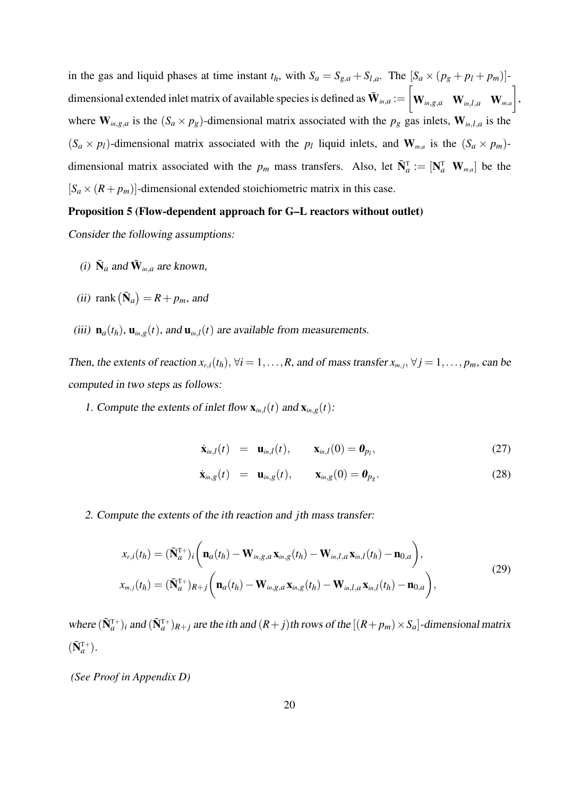in the gas and liquid phases at time instant  $t_h$ , with  $S_a = S_{g,a} + S_{l,a}$ . The  $[S_a \times (p_g + p_l + p_m)]$ dimensional extended inlet matrix of available species is defined as  $\bar{\mathbf{W}}_{\text{\tiny{in,d}}}$  :=  $\sqrt{ }$  $\mathbf{W}_{in,g,a}$  **W***in*,*l*,*a* **W***m*,*a* 1 , where  $\mathbf{W}_{in,g,a}$  is the  $(S_a \times p_g)$ -dimensional matrix associated with the  $p_g$  gas inlets,  $\mathbf{W}_{in,l,a}$  is the  $(S_a \times p_l)$ -dimensional matrix associated with the  $p_l$  liquid inlets, and  $\mathbf{W}_{m,a}$  is the  $(S_a \times p_m)$ dimensional matrix associated with the  $p_m$  mass transfers. Also, let  $\bar{N}_a^T := [N_a^T \ W_{m,a}]$  be the  $[S_a \times (R + p_m)]$ -dimensional extended stoichiometric matrix in this case.

#### **Proposition 5 (Flow-dependent approach for G–L reactors without outlet)**

Consider the following assumptions:

- (i)  $\bar{\mathbf{N}}_a$  and  $\bar{\mathbf{W}}_{in,a}$  are known,
- (ii) rank  $(\bar{\mathbf{N}}_a) = R + p_m$ , and
- (iii)  $\mathbf{n}_a(t_h)$ ,  $\mathbf{u}_{in,g}(t)$ , and  $\mathbf{u}_{in,l}(t)$  are available from measurements.

Then, the extents of reaction  $x_{r,i}(t_h)$ ,  $\forall i = 1, \ldots, R$ , and of mass transfer  $x_{m,j}$ ,  $\forall j = 1, \ldots, p_m$ , can be computed in two steps as follows:

1. Compute the extents of inlet flow  $\mathbf{x}_{in,l}(t)$  and  $\mathbf{x}_{in,g}(t)$ :

$$
\dot{\mathbf{x}}_{in,l}(t) = \mathbf{u}_{in,l}(t), \qquad \mathbf{x}_{in,l}(0) = \mathbf{0}_{p_l}, \tag{27}
$$

$$
\dot{\mathbf{x}}_{m,g}(t) = \mathbf{u}_{m,g}(t), \qquad \mathbf{x}_{m,g}(0) = \boldsymbol{0}_{p_g}.
$$
 (28)

2. Compute the extents of the *i*th reaction and *j*th mass transfer:

$$
x_{r,i}(t_h) = (\bar{\mathbf{N}}_a^{\mathrm{T}+})_i \bigg( \mathbf{n}_a(t_h) - \mathbf{W}_{in,g,a} \mathbf{x}_{in,g}(t_h) - \mathbf{W}_{in,l,a} \mathbf{x}_{in,l}(t_h) - \mathbf{n}_{0,a} \bigg),
$$
  
\n
$$
x_{m,j}(t_h) = (\bar{\mathbf{N}}_a^{\mathrm{T}+})_{R+j} \bigg( \mathbf{n}_a(t_h) - \mathbf{W}_{in,g,a} \mathbf{x}_{in,g}(t_h) - \mathbf{W}_{in,l,a} \mathbf{x}_{in,l}(t_h) - \mathbf{n}_{0,a} \bigg),
$$
\n(29)

where  $(\bar{N}_a^{T+})_i$  and  $(\bar{N}_a^{T+})_{R+j}$  are the *i*th and  $(R+j)$ th rows of the  $[(R+p_m)\times S_a]$ -dimensional matrix  $(\bar{\mathbf{N}}_{a}^{\mathrm{T+}})$ .

*(See Proof in Appendix D)*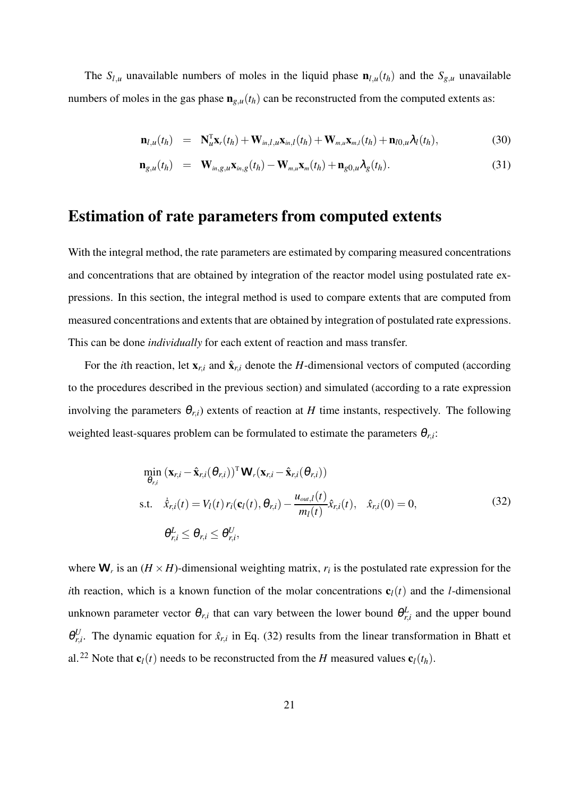The  $S_{l,u}$  unavailable numbers of moles in the liquid phase  $\mathbf{n}_{l,u}(t_h)$  and the  $S_{g,u}$  unavailable numbers of moles in the gas phase  $\mathbf{n}_{g,u}(t_h)$  can be reconstructed from the computed extents as:

$$
\mathbf{n}_{l,u}(t_h) = \mathbf{N}_{u}^{\mathrm{T}} \mathbf{x}_r(t_h) + \mathbf{W}_{in,l,u} \mathbf{x}_{in,l}(t_h) + \mathbf{W}_{m,u} \mathbf{x}_{m,l}(t_h) + \mathbf{n}_{l0,u} \lambda_l(t_h),
$$
(30)

$$
\mathbf{n}_{g,u}(t_h) = \mathbf{W}_{in,g,u}\mathbf{x}_{in,g}(t_h) - \mathbf{W}_{m,u}\mathbf{x}_m(t_h) + \mathbf{n}_{g0,u}\lambda_g(t_h). \tag{31}
$$

# **Estimation of rate parameters from computed extents**

With the integral method, the rate parameters are estimated by comparing measured concentrations and concentrations that are obtained by integration of the reactor model using postulated rate expressions. In this section, the integral method is used to compare extents that are computed from measured concentrations and extents that are obtained by integration of postulated rate expressions. This can be done *individually* for each extent of reaction and mass transfer.

For the *i*th reaction, let  $\mathbf{x}_{r,i}$  and  $\hat{\mathbf{x}}_{r,i}$  denote the *H*-dimensional vectors of computed (according to the procedures described in the previous section) and simulated (according to a rate expression involving the parameters  $\theta_{r,i}$ ) extents of reaction at *H* time instants, respectively. The following weighted least-squares problem can be formulated to estimate the parameters  $\theta_{r,i}$ :

$$
\min_{\theta_{r,i}} (\mathbf{x}_{r,i} - \hat{\mathbf{x}}_{r,i}(\theta_{r,i}))^{\mathrm{T}} \mathbf{W}_r(\mathbf{x}_{r,i} - \hat{\mathbf{x}}_{r,i}(\theta_{r,i}))
$$
\ns.t. 
$$
\hat{x}_{r,i}(t) = V_l(t) r_i(\mathbf{c}_l(t), \theta_{r,i}) - \frac{u_{out,l}(t)}{m_l(t)} \hat{x}_{r,i}(t), \quad \hat{x}_{r,i}(0) = 0,
$$
\n
$$
\theta_{r,i}^L \leq \theta_{r,i} \leq \theta_{r,i}^U,
$$
\n(32)

where  $W_r$  is an  $(H \times H)$ -dimensional weighting matrix,  $r_i$  is the postulated rate expression for the *i*th reaction, which is a known function of the molar concentrations  $\mathbf{c}_l(t)$  and the *l*-dimensional unknown parameter vector  $\theta_{r,i}$  that can vary between the lower bound  $\theta_{r,i}^L$  and the upper bound  $\theta_{r,i}^U$ . The dynamic equation for  $\hat{x}_{r,i}$  in Eq. (32) results from the linear transformation in Bhatt et al.<sup>22</sup> Note that  $\mathbf{c}_l(t)$  needs to be reconstructed from the *H* measured values  $\mathbf{c}_l(t_h)$ .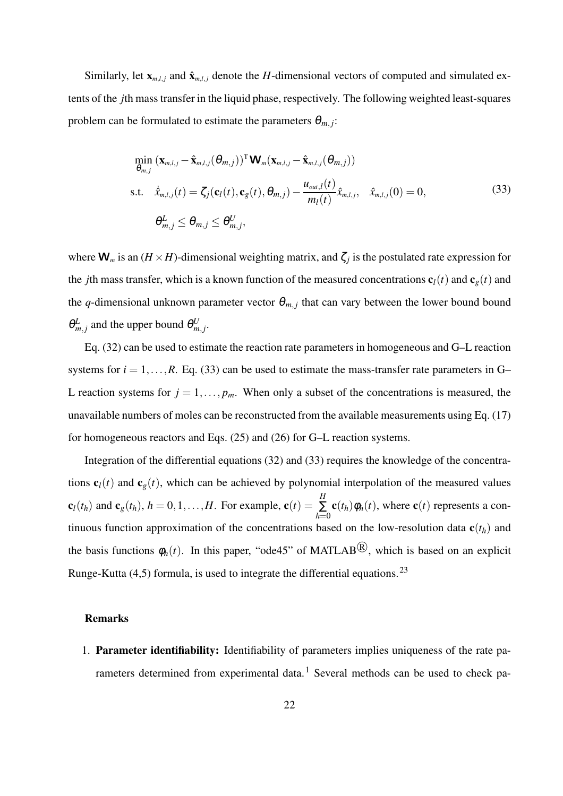Similarly, let  $\mathbf{x}_{m,l,j}$  and  $\hat{\mathbf{x}}_{m,l,j}$  denote the *H*-dimensional vectors of computed and simulated extents of the *j*th mass transfer in the liquid phase, respectively. The following weighted least-squares problem can be formulated to estimate the parameters  $\theta_{m,j}$ :

$$
\min_{\theta_{m,j}} (\mathbf{x}_{m,l,j} - \hat{\mathbf{x}}_{m,l,j}(\theta_{m,j}))^{\mathrm{T}} \mathbf{W}_{m}(\mathbf{x}_{m,l,j} - \hat{\mathbf{x}}_{m,l,j}(\theta_{m,j}))
$$
\ns.t. 
$$
\hat{x}_{m,l,j}(t) = \zeta_j(\mathbf{c}_l(t), \mathbf{c}_g(t), \theta_{m,j}) - \frac{u_{out,l}(t)}{m_l(t)} \hat{x}_{m,l,j}, \quad \hat{x}_{m,l,j}(0) = 0,
$$
\n(33)

where  $\mathbf{W}_m$  is an  $(H \times H)$ -dimensional weighting matrix, and  $\zeta_j$  is the postulated rate expression for the *j*th mass transfer, which is a known function of the measured concentrations  $\mathbf{c}_l(t)$  and  $\mathbf{c}_g(t)$  and the *q*-dimensional unknown parameter vector  $\theta_{m,j}$  that can vary between the lower bound bound  $\theta_{m,j}^L$  and the upper bound  $\theta_{m,j}^U$ .

Eq. (32) can be used to estimate the reaction rate parameters in homogeneous and G–L reaction systems for  $i = 1, \ldots, R$ . Eq. (33) can be used to estimate the mass-transfer rate parameters in G– L reaction systems for  $j = 1, \ldots, p_m$ . When only a subset of the concentrations is measured, the unavailable numbers of moles can be reconstructed from the available measurements using Eq. (17) for homogeneous reactors and Eqs. (25) and (26) for G–L reaction systems.

Integration of the differential equations (32) and (33) requires the knowledge of the concentrations  $\mathbf{c}_l(t)$  and  $\mathbf{c}_l(t)$ , which can be achieved by polynomial interpolation of the measured values  $\mathbf{c}_l(t_h)$  and  $\mathbf{c}_g(t_h)$ ,  $h = 0, 1, \ldots, H$ . For example,  $\mathbf{c}(t) =$ *H* ∑ *h*=0  $\mathbf{c}(t_h)\phi_h(t)$ , where  $\mathbf{c}(t)$  represents a continuous function approximation of the concentrations based on the low-resolution data  $\mathbf{c}(t_h)$  and the basis functions  $\phi_h(t)$ . In this paper, "ode45" of MATLAB<sup>(B)</sup>, which is based on an explicit Runge-Kutta  $(4,5)$  formula, is used to integrate the differential equations.<sup>23</sup>

#### **Remarks**

1. **Parameter identifiability:** Identifiability of parameters implies uniqueness of the rate parameters determined from experimental data.<sup>1</sup> Several methods can be used to check pa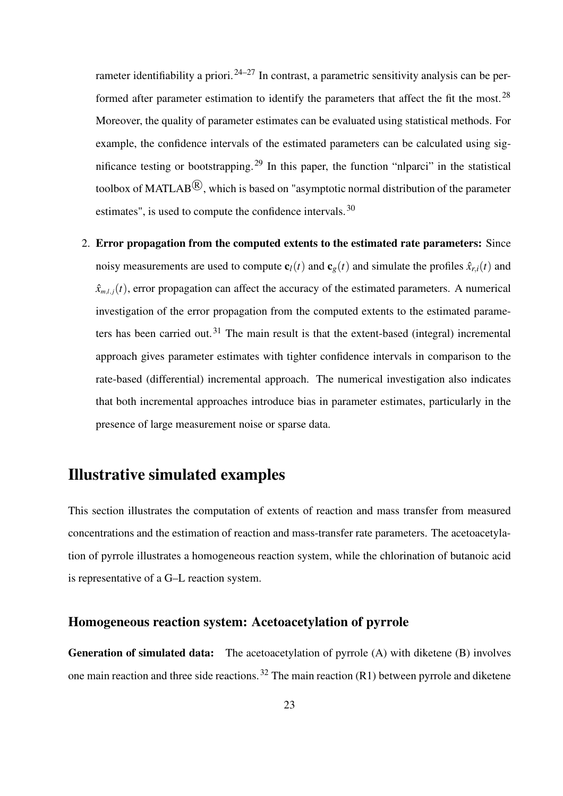rameter identifiability a priori.  $24-27$  In contrast, a parametric sensitivity analysis can be performed after parameter estimation to identify the parameters that affect the fit the most.<sup>28</sup> Moreover, the quality of parameter estimates can be evaluated using statistical methods. For example, the confidence intervals of the estimated parameters can be calculated using significance testing or bootstrapping.<sup>29</sup> In this paper, the function "nlparci" in the statistical toolbox of MATLAB $^{\textcircled{R}},$  which is based on "asymptotic normal distribution of the parameter estimates", is used to compute the confidence intervals.<sup>30</sup>

2. **Error propagation from the computed extents to the estimated rate parameters:** Since noisy measurements are used to compute  $\mathbf{c}_l(t)$  and  $\mathbf{c}_g(t)$  and simulate the profiles  $\hat{x}_{r,i}(t)$  and  $\hat{x}_{m,l,j}(t)$ , error propagation can affect the accuracy of the estimated parameters. A numerical investigation of the error propagation from the computed extents to the estimated parameters has been carried out.<sup>31</sup> The main result is that the extent-based (integral) incremental approach gives parameter estimates with tighter confidence intervals in comparison to the rate-based (differential) incremental approach. The numerical investigation also indicates that both incremental approaches introduce bias in parameter estimates, particularly in the presence of large measurement noise or sparse data.

# **Illustrative simulated examples**

This section illustrates the computation of extents of reaction and mass transfer from measured concentrations and the estimation of reaction and mass-transfer rate parameters. The acetoacetylation of pyrrole illustrates a homogeneous reaction system, while the chlorination of butanoic acid is representative of a G–L reaction system.

### **Homogeneous reaction system: Acetoacetylation of pyrrole**

**Generation of simulated data:** The acetoacetylation of pyrrole (A) with diketene (B) involves one main reaction and three side reactions.<sup>32</sup> The main reaction  $(R1)$  between pyrrole and diketene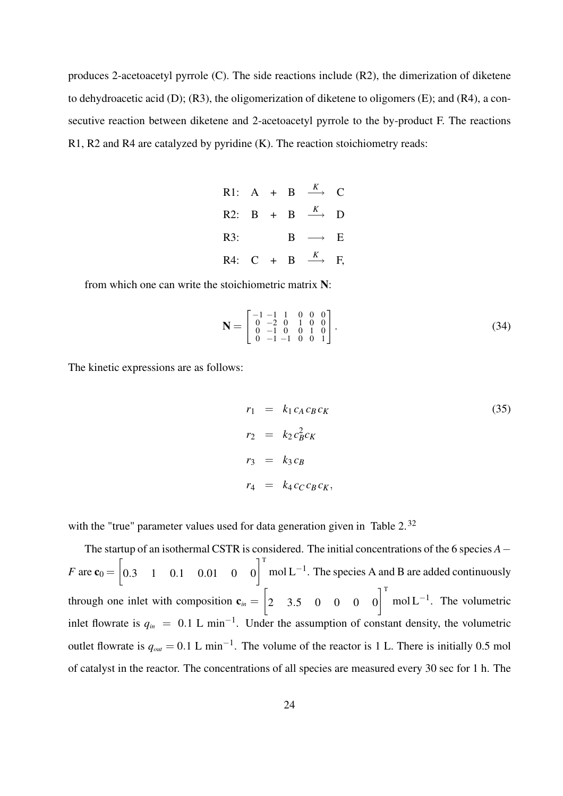produces 2-acetoacetyl pyrrole (C). The side reactions include (R2), the dimerization of diketene to dehydroacetic acid (D); (R3), the oligomerization of diketene to oligomers (E); and (R4), a consecutive reaction between diketene and 2-acetoacetyl pyrrole to the by-product F. The reactions R1, R2 and R4 are catalyzed by pyridine (K). The reaction stoichiometry reads:

|  |  | R1: A + B $\stackrel{K}{\longrightarrow}$ C  |  |
|--|--|----------------------------------------------|--|
|  |  | R2: B + B $\stackrel{K}{\longrightarrow}$ D  |  |
|  |  | R3: $B \rightarrow E$                        |  |
|  |  | R4: C + B $\stackrel{K}{\longrightarrow}$ F, |  |

from which one can write the stoichiometric matrix **N**:

$$
\mathbf{N} = \begin{bmatrix} -1 & -1 & 1 & 0 & 0 & 0 \\ 0 & -2 & 0 & 1 & 0 & 0 \\ 0 & -1 & 0 & 0 & 1 & 0 \\ 0 & -1 & -1 & 0 & 0 & 1 \end{bmatrix} . \tag{34}
$$

The kinetic expressions are as follows:

$$
r_1 = k_1 c_A c_B c_K
$$
  
\n
$$
r_2 = k_2 c_B^2 c_K
$$
  
\n
$$
r_3 = k_3 c_B
$$
  
\n
$$
r_4 = k_4 c_C c_B c_K,
$$
  
\n(35)

with the "true" parameter values used for data generation given in Table 2.<sup>32</sup>

The startup of an isothermal CSTR is considered. The initial concentrations of the 6 species *A*− *F* are  $\mathbf{c}_0 = \begin{bmatrix} 0.3 & 1 & 0.1 & 0.01 & 0 & 0 \end{bmatrix}^T$  mol L<sup>-1</sup>. The species A and B are added continuously through one inlet with composition  $\mathbf{c}_{in} = \begin{bmatrix} 2 & 3.5 & 0 & 0 & 0 \end{bmatrix}^T$  mol L<sup>-1</sup>. The volumetric inlet flowrate is  $q_{in} = 0.1$  L min<sup>-1</sup>. Under the assumption of constant density, the volumetric outlet flowrate is  $q_{out} = 0.1 \text{ L min}^{-1}$ . The volume of the reactor is 1 L. There is initially 0.5 mol of catalyst in the reactor. The concentrations of all species are measured every 30 sec for 1 h. The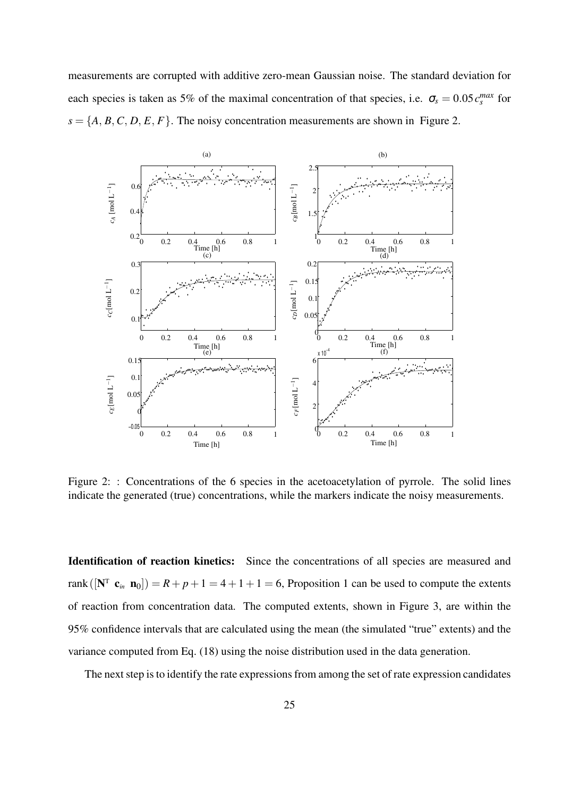measurements are corrupted with additive zero-mean Gaussian noise. The standard deviation for each species is taken as 5% of the maximal concentration of that species, i.e.  $\sigma_s = 0.05 c_s^{max}$  for  $s = \{A, B, C, D, E, F\}$ . The noisy concentration measurements are shown in Figure 2.



Figure 2: : Concentrations of the 6 species in the acetoacetylation of pyrrole. The solid lines indicate the generated (true) concentrations, while the markers indicate the noisy measurements.

**Identification of reaction kinetics:** Since the concentrations of all species are measured and rank  $([\mathbf{N}^T \mathbf{c}_m \mathbf{n}_0]) = R + p + 1 = 4 + 1 + 1 = 6$ , Proposition 1 can be used to compute the extents of reaction from concentration data. The computed extents, shown in Figure 3, are within the 95% confidence intervals that are calculated using the mean (the simulated "true" extents) and the variance computed from Eq. (18) using the noise distribution used in the data generation.

The next step is to identify the rate expressions from among the set of rate expression candidates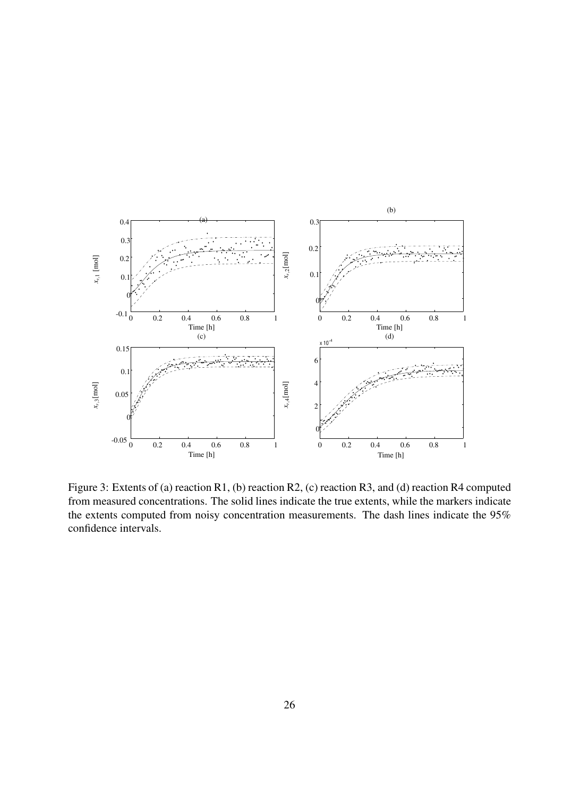

Figure 3: Extents of (a) reaction R1, (b) reaction R2, (c) reaction R3, and (d) reaction R4 computed from measured concentrations. The solid lines indicate the true extents, while the markers indicate the extents computed from noisy concentration measurements. The dash lines indicate the 95% confidence intervals.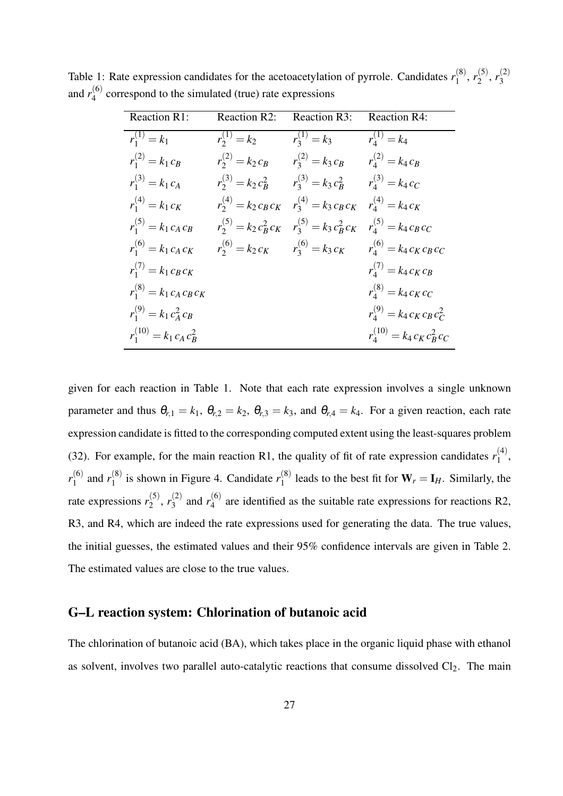|                       | Reaction R1: Reaction R2: Reaction R3: Reaction R4:                       |                                                                       |  |
|-----------------------|---------------------------------------------------------------------------|-----------------------------------------------------------------------|--|
| $r_1^{(1)} = k_1$     |                                                                           | $r_2^{(1)} = k_2$ $r_3^{(1)} = k_3$ $r_4^{(1)} = k_4$                 |  |
| $r_1^{(2)} = k_1 c_B$ |                                                                           | $r_2^{(2)} = k_2 c_B$ $r_3^{(2)} = k_3 c_B$ $r_4^{(2)} = k_4 c_B$     |  |
| $r_1^{(3)} = k_1 c_A$ |                                                                           | $r_2^{(3)} = k_2 c_B^2$ $r_3^{(3)} = k_3 c_B^2$ $r_4^{(3)} = k_4 c_C$ |  |
| $r_1^{(4)} = k_1 c_K$ | $r_2^{(4)} = k_2 c_B c_K$ $r_3^{(4)} = k_3 c_B c_K$ $r_4^{(4)} = k_4 c_K$ |                                                                       |  |

 $r_1^{(5)} = k_1 c_A c_B$   $r_2^{(5)} = k_2 c_B^2 c_K$   $r_3^{(5)} = k_3 c_B^2 c_K$   $r_4^{(5)} = k_4 c_B c_C$ 

*c<sup>B</sup> r*

 $r_1^{(7)} = k_1 c_B c_K$  *r* 

 $r_1^{(8)} = k_1 c_A c_B c_K$  *r* 

 $r_1^{(9)} = k_1 c_A^2$ 

 $r_1^{(10)} = k_1 c_A c_B^2$ 

 $r_1^{(6)} = k_1 c_A c_K$   $r_2^{(6)} = k_2 c_K$   $r_3^{(6)} = k_3 c_K$   $r_4^{(6)} = k_4 c_K c_B c_C$ 

 $a_4^{(7)} = k_4 c_K c_B$ 

 $a_4^{(8)} = k_4 c_K c_C$ 

 $k_4^{(9)} = k_4 c_K c_B c_C^2$ 

 $r_4^{(10)} = k_4 c_K c_B^2 c_C$ 

Table 1: Rate expression candidates for the acetoacetylation of pyrrole. Candidates  $r_1^{(8)}$  $r_1^{(8)}, r_2^{(5)}$  $r_2^{(5)}$ ,  $r_3^{(2)}$ 3 and

given for each reaction in Table 1. Note that each rate expression involves a single unknown parameter and thus  $\theta_{r,1} = k_1$ ,  $\theta_{r,2} = k_2$ ,  $\theta_{r,3} = k_3$ , and  $\theta_{r,4} = k_4$ . For a given reaction, each rate expression candidate is fitted to the corresponding computed extent using the least-squares problem (32). For example, for the main reaction R1, the quality of fit of rate expression candidates  $r_1^{(4)}$  $\binom{4}{1}$ ,  $r_1^{(6)}$  $\binom{1}{1}$  and  $r_1^{(8)}$  $\binom{8}{1}$  is shown in Figure 4. Candidate  $r_1^{(8)}$  $\int_{1}^{60}$  leads to the best fit for  $W_r = I_H$ . Similarly, the rate expressions  $r_2^{(5)}$  $r_2^{(5)}$ ,  $r_3^{(2)}$  $r_3^{(2)}$  and  $r_4^{(6)}$  $_{4}^{(0)}$  are identified as the suitable rate expressions for reactions R2, R3, and R4, which are indeed the rate expressions used for generating the data. The true values, the initial guesses, the estimated values and their 95% confidence intervals are given in Table 2. The estimated values are close to the true values.

### **G–L reaction system: Chlorination of butanoic acid**

The chlorination of butanoic acid (BA), which takes place in the organic liquid phase with ethanol as solvent, involves two parallel auto-catalytic reactions that consume dissolved  $Cl_2$ . The main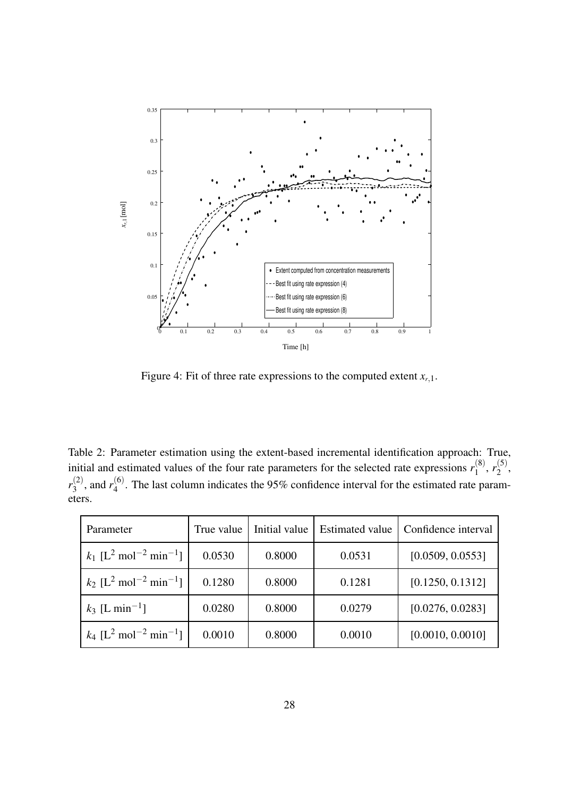

Figure 4: Fit of three rate expressions to the computed extent  $x_{r,1}$ .

Table 2: Parameter estimation using the extent-based incremental identification approach: True, initial and estimated values of the four rate parameters for the selected rate expressions  $r_1^{(8)}$  $r_1^{(8)}, r_2^{(5)}$  $\frac{1}{2}$ ,  $r_3^{(2)}$  $r_3^{(2)}$ , and  $r_4^{(6)}$  $\frac{10}{4}$ . The last column indicates the 95% confidence interval for the estimated rate parameters.

| Parameter                                                   | True value | Initial value | <b>Estimated value</b> | Confidence interval |
|-------------------------------------------------------------|------------|---------------|------------------------|---------------------|
| $k_1$ [L <sup>2</sup> mol <sup>-2</sup> min <sup>-1</sup> ] | 0.0530     | 0.8000        | 0.0531                 | [0.0509, 0.0553]    |
| $k_2$ [L <sup>2</sup> mol <sup>-2</sup> min <sup>-1</sup> ] | 0.1280     | 0.8000        | 0.1281                 | [0.1250, 0.1312]    |
| $k_3$ [L min <sup>-1</sup> ]                                | 0.0280     | 0.8000        | 0.0279                 | [0.0276, 0.0283]    |
| $k_4$ [L <sup>2</sup> mol <sup>-2</sup> min <sup>-1</sup> ] | 0.0010     | 0.8000        | 0.0010                 | [0.0010, 0.0010]    |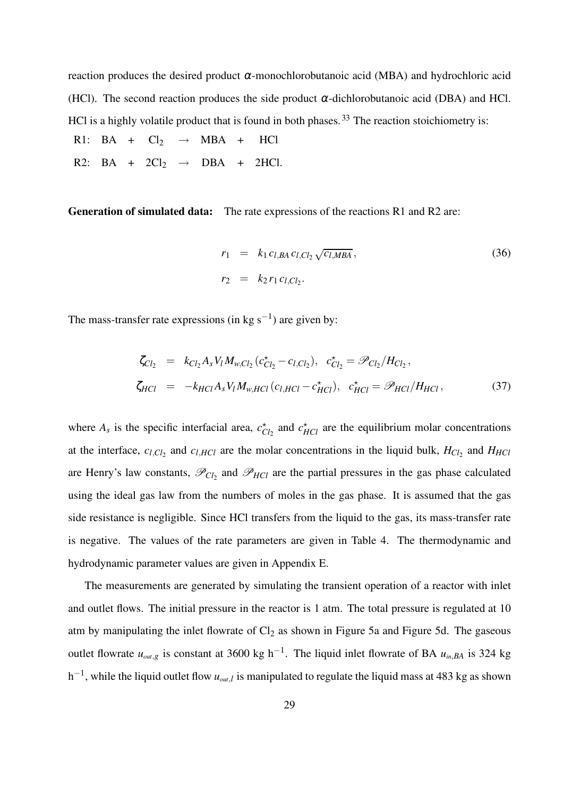reaction produces the desired product <sup>α</sup>-monochlorobutanoic acid (MBA) and hydrochloric acid (HCl). The second reaction produces the side product  $\alpha$ -dichlorobutanoic acid (DBA) and HCl. HCl is a highly volatile product that is found in both phases.<sup>33</sup> The reaction stoichiometry is:

- R1: BA +  $Cl_2$   $\rightarrow$  MBA + HCl
- R2: BA +  $2Cl_2 \rightarrow DBA + 2HCl$ .

**Generation of simulated data:** The rate expressions of the reactions R1 and R2 are:

$$
r_1 = k_1 c_{l,BA} c_{l,Cl_2} \sqrt{c_{l,MBA}},
$$
  
\n
$$
r_2 = k_2 r_1 c_{l,Cl_2}.
$$
\n(36)

The mass-transfer rate expressions (in kg s<sup>-1</sup>) are given by:

$$
\zeta_{Cl_2} = k_{Cl_2} A_s V_l M_{w,Cl_2} (c_{Cl_2}^{\star} - c_{l,Cl_2}), \quad c_{Cl_2}^{\star} = \mathcal{P}_{Cl_2} / H_{Cl_2},
$$
\n
$$
\zeta_{HCl} = -k_{HCl} A_s V_l M_{w,HCl} (c_{l,HCl} - c_{HCl}^{\star}), \quad c_{HCl}^{\star} = \mathcal{P}_{HCl} / H_{HCl}, \tag{37}
$$

where  $A_s$  is the specific interfacial area,  $c_{Cl_2}^*$  and  $c_{HCl}^*$  are the equilibrium molar concentrations at the interface,  $c_{l,Cl_2}$  and  $c_{l,HCl}$  are the molar concentrations in the liquid bulk,  $H_{Cl_2}$  and  $H_{HCl}$ are Henry's law constants,  $\mathcal{P}_{Cl_2}$  and  $\mathcal{P}_{HCl}$  are the partial pressures in the gas phase calculated using the ideal gas law from the numbers of moles in the gas phase. It is assumed that the gas side resistance is negligible. Since HCl transfers from the liquid to the gas, its mass-transfer rate is negative. The values of the rate parameters are given in Table 4. The thermodynamic and hydrodynamic parameter values are given in Appendix E.

The measurements are generated by simulating the transient operation of a reactor with inlet and outlet flows. The initial pressure in the reactor is 1 atm. The total pressure is regulated at 10 atm by manipulating the inlet flowrate of  $Cl_2$  as shown in Figure 5a and Figure 5d. The gaseous outlet flowrate *uout*,*<sup>g</sup>* is constant at 3600 kg h−<sup>1</sup> . The liquid inlet flowrate of BA *uin*,*BA* is 324 kg  $h^{-1}$ , while the liquid outlet flow  $u_{out,l}$  is manipulated to regulate the liquid mass at 483 kg as shown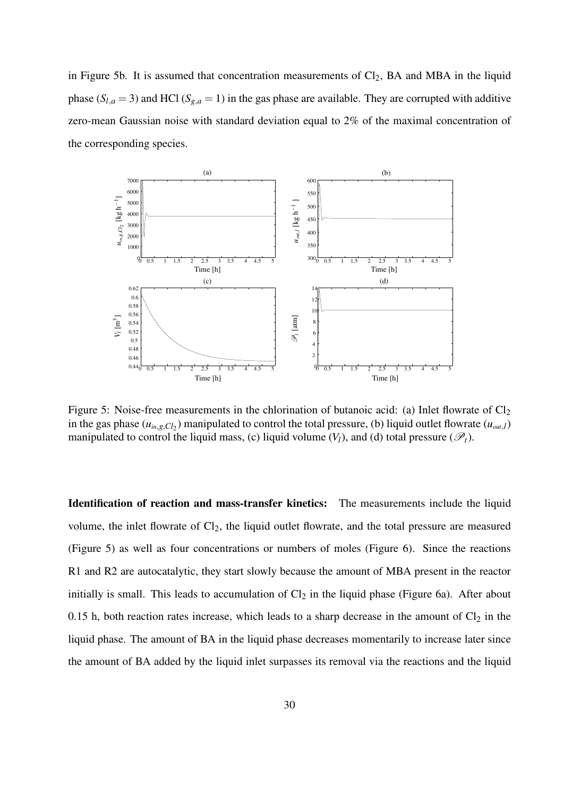in Figure 5b. It is assumed that concentration measurements of  $Cl_2$ , BA and MBA in the liquid phase ( $S_{l,a}$  = 3) and HCl ( $S_{g,a}$  = 1) in the gas phase are available. They are corrupted with additive zero-mean Gaussian noise with standard deviation equal to 2% of the maximal concentration of the corresponding species.



Figure 5: Noise-free measurements in the chlorination of butanoic acid: (a) Inlet flowrate of  $Cl_2$ in the gas phase  $(u_{in,g,Cl_2})$  manipulated to control the total pressure, (b) liquid outlet flowrate  $(u_{out,l})$ manipulated to control the liquid mass, (c) liquid volume  $(V_l)$ , and (d) total pressure  $(\mathscr{P}_t)$ .

**Identification of reaction and mass-transfer kinetics:** The measurements include the liquid volume, the inlet flowrate of Cl<sub>2</sub>, the liquid outlet flowrate, and the total pressure are measured (Figure 5) as well as four concentrations or numbers of moles (Figure 6). Since the reactions R1 and R2 are autocatalytic, they start slowly because the amount of MBA present in the reactor initially is small. This leads to accumulation of  $Cl<sub>2</sub>$  in the liquid phase (Figure 6a). After about 0.15 h, both reaction rates increase, which leads to a sharp decrease in the amount of  $Cl_2$  in the liquid phase. The amount of BA in the liquid phase decreases momentarily to increase later since the amount of BA added by the liquid inlet surpasses its removal via the reactions and the liquid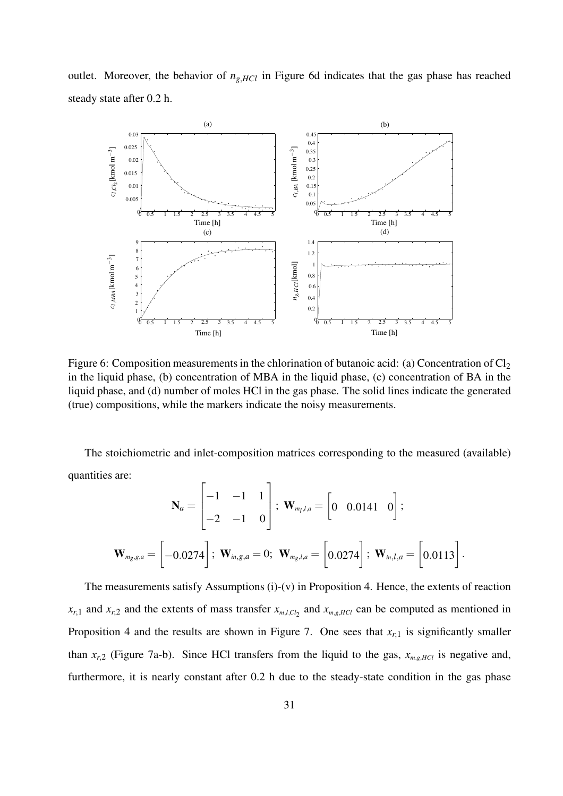outlet. Moreover, the behavior of  $n_{g,HCl}$  in Figure 6d indicates that the gas phase has reached steady state after 0.2 h.



Figure 6: Composition measurements in the chlorination of butanoic acid: (a) Concentration of  $Cl_2$ in the liquid phase, (b) concentration of MBA in the liquid phase, (c) concentration of BA in the liquid phase, and (d) number of moles HCl in the gas phase. The solid lines indicate the generated (true) compositions, while the markers indicate the noisy measurements.

The stoichiometric and inlet-composition matrices corresponding to the measured (available) quantities are:

$$
\mathbf{N}_{a} = \begin{bmatrix} -1 & -1 & 1 \\ -2 & -1 & 0 \end{bmatrix}; \ \mathbf{W}_{m_{l},l,a} = \begin{bmatrix} 0 & 0.0141 & 0 \end{bmatrix};
$$

$$
\mathbf{W}_{m_{g},g,a} = \begin{bmatrix} -0.0274 \end{bmatrix}; \ \mathbf{W}_{in,g,a} = 0; \ \mathbf{W}_{m_{g},l,a} = \begin{bmatrix} 0.0274 \end{bmatrix}; \ \mathbf{W}_{in,l,a} = \begin{bmatrix} 0.0113 \end{bmatrix}.
$$

The measurements satisfy Assumptions (i)-(v) in Proposition 4. Hence, the extents of reaction  $x_{r,1}$  and  $x_{r,2}$  and the extents of mass transfer  $x_{m,l,Cl_2}$  and  $x_{m,g,HCl}$  can be computed as mentioned in Proposition 4 and the results are shown in Figure 7. One sees that  $x_{r,1}$  is significantly smaller than  $x_{r,2}$  (Figure 7a-b). Since HCl transfers from the liquid to the gas,  $x_{m,g,HCl}$  is negative and, furthermore, it is nearly constant after 0.2 h due to the steady-state condition in the gas phase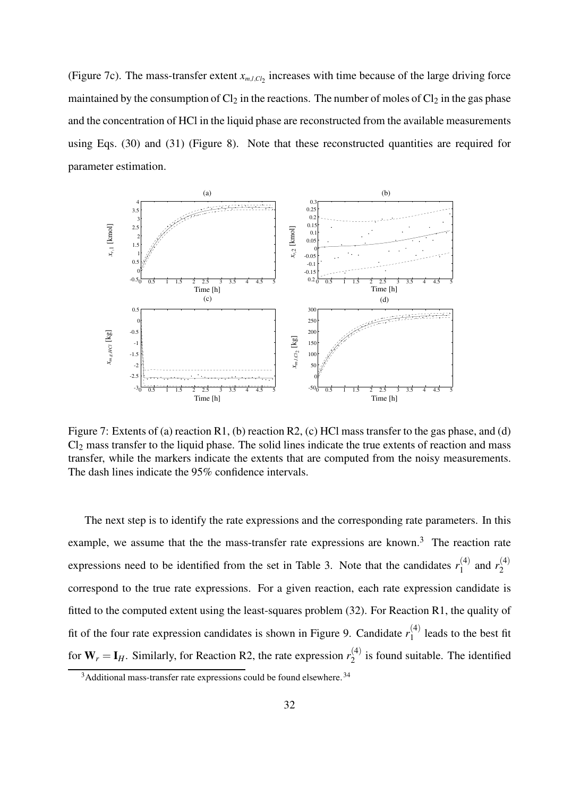(Figure 7c). The mass-transfer extent  $x_{m,l,Cl_2}$  increases with time because of the large driving force maintained by the consumption of  $Cl_2$  in the reactions. The number of moles of  $Cl_2$  in the gas phase and the concentration of HCl in the liquid phase are reconstructed from the available measurements using Eqs. (30) and (31) (Figure 8). Note that these reconstructed quantities are required for parameter estimation.



Figure 7: Extents of (a) reaction R1, (b) reaction R2, (c) HCl mass transfer to the gas phase, and (d)  $Cl<sub>2</sub>$  mass transfer to the liquid phase. The solid lines indicate the true extents of reaction and mass transfer, while the markers indicate the extents that are computed from the noisy measurements. The dash lines indicate the 95% confidence intervals.

The next step is to identify the rate expressions and the corresponding rate parameters. In this example, we assume that the the mass-transfer rate expressions are known.<sup>3</sup> The reaction rate expressions need to be identified from the set in Table 3. Note that the candidates  $r_1^{(4)}$  $r_1^{(4)}$  and  $r_2^{(4)}$ 2 correspond to the true rate expressions. For a given reaction, each rate expression candidate is fitted to the computed extent using the least-squares problem (32). For Reaction R1, the quality of fit of the four rate expression candidates is shown in Figure 9. Candidate  $r_1^{(4)}$  $1^{(4)}$  leads to the best fit for  $W_r = I_H$ . Similarly, for Reaction R2, the rate expression  $r_2^{(4)}$  $2^{(4)}$  is found suitable. The identified

 $3A$ dditional mass-transfer rate expressions could be found elsewhere.  $34$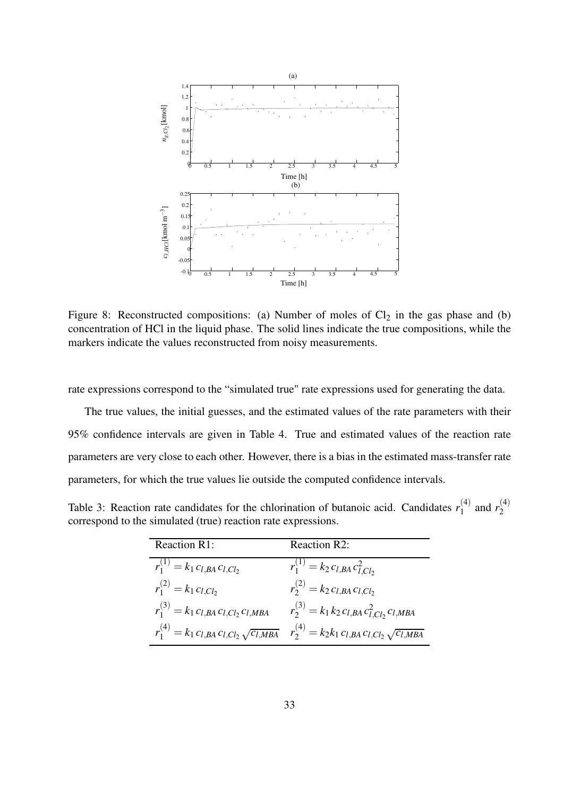

Figure 8: Reconstructed compositions: (a) Number of moles of  $Cl<sub>2</sub>$  in the gas phase and (b) concentration of HCl in the liquid phase. The solid lines indicate the true compositions, while the markers indicate the values reconstructed from noisy measurements.

rate expressions correspond to the "simulated true" rate expressions used for generating the data.

The true values, the initial guesses, and the estimated values of the rate parameters with their 95% confidence intervals are given in Table 4. True and estimated values of the reaction rate parameters are very close to each other. However, there is a bias in the estimated mass-transfer rate parameters, for which the true values lie outside the computed confidence intervals.

Table 3: Reaction rate candidates for the chlorination of butanoic acid. Candidates  $r_1^{(4)}$  $r_1^{(4)}$  and  $r_2^{(4)}$ 2 correspond to the simulated (true) reaction rate expressions.

| <b>Reaction R1:</b>                                    | <b>Reaction R2:</b>                                        |
|--------------------------------------------------------|------------------------------------------------------------|
| $r_1^{(1)} = k_1 c_{l,BA} c_{l,Cl_2}$                  | $r_1^{(1)} = k_2 c_{l,BA} c_{l,Cl_2}^2$                    |
| $r_1^{(2)} = k_1 c_{l,Cl_2}$                           | $r_2^{(2)} = k_2 c_{l,BA} c_{l,Cl_2}$                      |
| $r_1^{(3)} = k_1 c_{l,BA} c_{l,Cl_2} c_{l,MBA}$        | $r_2^{(3)} = k_1 k_2 c_{l,BA} c_{l,Cl_2}^2 c_{l,MBA}$      |
| $r_1^{(4)} = k_1 c_{l,BA} c_{l,Cl_2} \sqrt{c_{l,MBA}}$ | $r_2^{(4)} = k_2 k_1 c_{l,BA} c_{l,Cl_2} \sqrt{c_{l,MBA}}$ |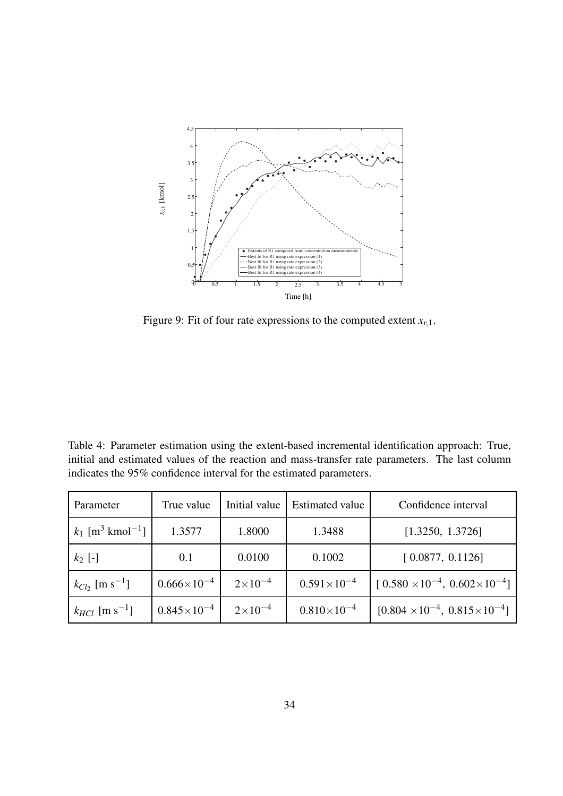

Figure 9: Fit of four rate expressions to the computed extent  $x_{r,1}$ .

Table 4: Parameter estimation using the extent-based incremental identification approach: True, initial and estimated values of the reaction and mass-transfer rate parameters. The last column indicates the 95% confidence interval for the estimated parameters.

| Parameter                                  | True value           | Initial value      | <b>Estimated value</b> | Confidence interval                            |
|--------------------------------------------|----------------------|--------------------|------------------------|------------------------------------------------|
| $k_1$ [m <sup>3</sup> kmol <sup>-1</sup> ] | 1.3577               | 1.8000             | 1.3488                 | [1.3250, 1.3726]                               |
| $k_2$ [-]                                  | 0.1                  | 0.0100             | 0.1002                 | [0.0877, 0.1126]                               |
| $k_{Cl}$ , [m s <sup>-1</sup> ]            | $0.666\times10^{-4}$ | $2 \times 10^{-4}$ | $0.591\times10^{-4}$   | $[0.580 \times 10^{-4}, 0.602 \times 10^{-4}]$ |
| $k_{HCl}$ [m s <sup>-1</sup> ]             | $0.845\times10^{-4}$ | $2\times10^{-4}$   | $0.810\times10^{-4}$   | $[0.804 \times 10^{-4}, 0.815 \times 10^{-4}]$ |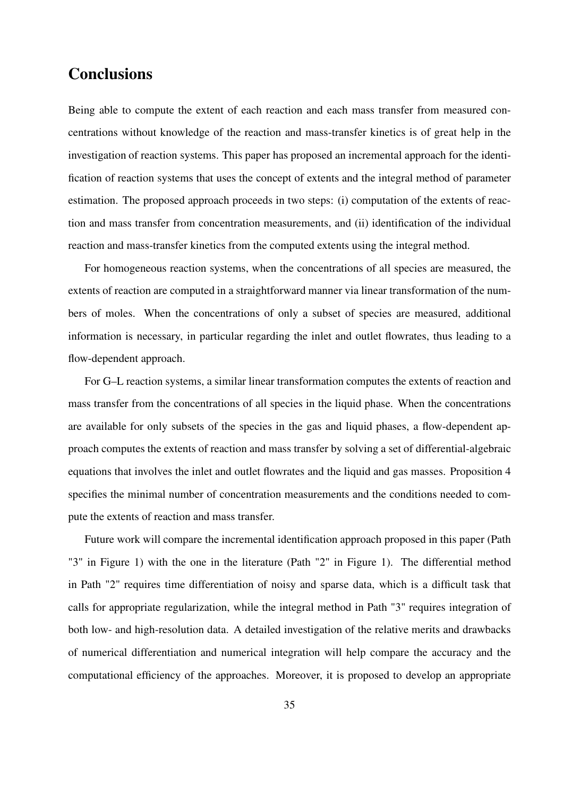# **Conclusions**

Being able to compute the extent of each reaction and each mass transfer from measured concentrations without knowledge of the reaction and mass-transfer kinetics is of great help in the investigation of reaction systems. This paper has proposed an incremental approach for the identification of reaction systems that uses the concept of extents and the integral method of parameter estimation. The proposed approach proceeds in two steps: (i) computation of the extents of reaction and mass transfer from concentration measurements, and (ii) identification of the individual reaction and mass-transfer kinetics from the computed extents using the integral method.

For homogeneous reaction systems, when the concentrations of all species are measured, the extents of reaction are computed in a straightforward manner via linear transformation of the numbers of moles. When the concentrations of only a subset of species are measured, additional information is necessary, in particular regarding the inlet and outlet flowrates, thus leading to a flow-dependent approach.

For G–L reaction systems, a similar linear transformation computes the extents of reaction and mass transfer from the concentrations of all species in the liquid phase. When the concentrations are available for only subsets of the species in the gas and liquid phases, a flow-dependent approach computes the extents of reaction and mass transfer by solving a set of differential-algebraic equations that involves the inlet and outlet flowrates and the liquid and gas masses. Proposition 4 specifies the minimal number of concentration measurements and the conditions needed to compute the extents of reaction and mass transfer.

Future work will compare the incremental identification approach proposed in this paper (Path "3" in Figure 1) with the one in the literature (Path "2" in Figure 1). The differential method in Path "2" requires time differentiation of noisy and sparse data, which is a difficult task that calls for appropriate regularization, while the integral method in Path "3" requires integration of both low- and high-resolution data. A detailed investigation of the relative merits and drawbacks of numerical differentiation and numerical integration will help compare the accuracy and the computational efficiency of the approaches. Moreover, it is proposed to develop an appropriate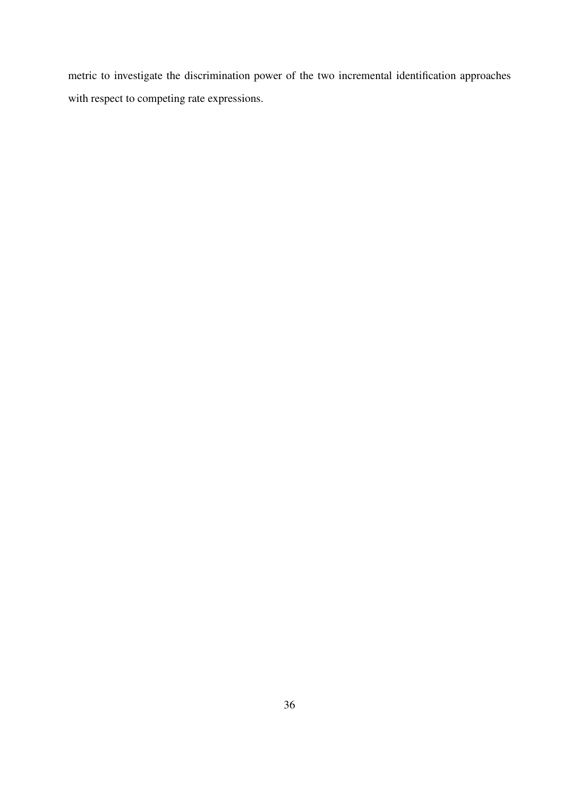metric to investigate the discrimination power of the two incremental identification approaches with respect to competing rate expressions.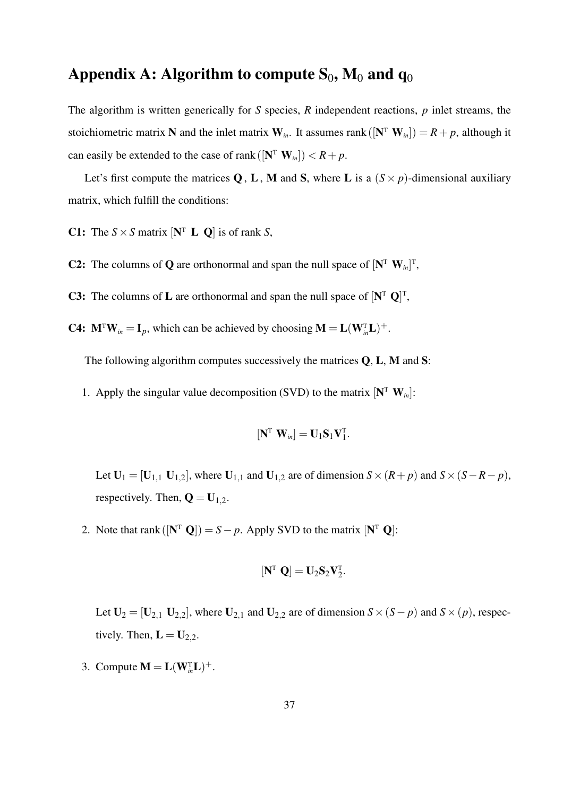# **Appendix A: Algorithm to compute**  $S_0$ **,**  $M_0$  **and**  $q_0$

The algorithm is written generically for *S* species, *R* independent reactions, *p* inlet streams, the stoichiometric matrix **N** and the inlet matrix  $W_{in}$ . It assumes rank ( $[N^T W_{in}]) = R + p$ , although it can easily be extended to the case of rank  $([\mathbf{N}^T \ \mathbf{W}_{in}]) < R + p$ .

Let's first compute the matrices **Q**, **L**, **M** and **S**, where **L** is a  $(S \times p)$ -dimensional auxiliary matrix, which fulfill the conditions:

**C1:** The  $S \times S$  matrix  $[N^T \ L \ Q]$  is of rank *S*,

- **C2:** The columns of **Q** are orthonormal and span the null space of  $[N^T W_{in}]^T$ ,
- **C3:** The columns of **L** are orthonormal and span the null space of  $[N^T Q]^T$ ,
- **C4:**  $\mathbf{M}^T \mathbf{W}_{in} = \mathbf{I}_p$ , which can be achieved by choosing  $\mathbf{M} = \mathbf{L}(\mathbf{W}_{in}^T \mathbf{L})^+$ .

The following algorithm computes successively the matrices **Q**, **L**, **M** and **S**:

1. Apply the singular value decomposition (SVD) to the matrix  $[\mathbf{N}^T \ \mathbf{W}_{in}]$ :

$$
\left[\mathbf{N}^{\mathrm{T}}\ \mathbf{W}_{in}\right]=\mathbf{U}_1\mathbf{S}_1\mathbf{V}_1^{\mathrm{T}}.
$$

Let  $U_1 = [U_{1,1} \ U_{1,2}]$ , where  $U_{1,1}$  and  $U_{1,2}$  are of dimension  $S \times (R + p)$  and  $S \times (S - R - p)$ , respectively. Then,  $\mathbf{Q} = \mathbf{U}_{1,2}$ .

2. Note that rank  $([\mathbf{N}^T \ \mathbf{Q}]) = S - p$ . Apply SVD to the matrix  $[\mathbf{N}^T \ \mathbf{Q}]$ :

$$
\left[\mathbf{N}^{\mathrm{T}}\ \mathbf{Q}\right]=\mathbf{U}_{2}\mathbf{S}_{2}\mathbf{V}_{2}^{\mathrm{T}}.
$$

Let  $U_2 = [U_{2,1} \ U_{2,2}]$ , where  $U_{2,1}$  and  $U_{2,2}$  are of dimension  $S \times (S - p)$  and  $S \times (p)$ , respectively. Then,  $\mathbf{L} = \mathbf{U}_{2,2}$ .

3. Compute  $\mathbf{M} = \mathbf{L}(\mathbf{W}_{in}^{T} \mathbf{L})^{+}$ .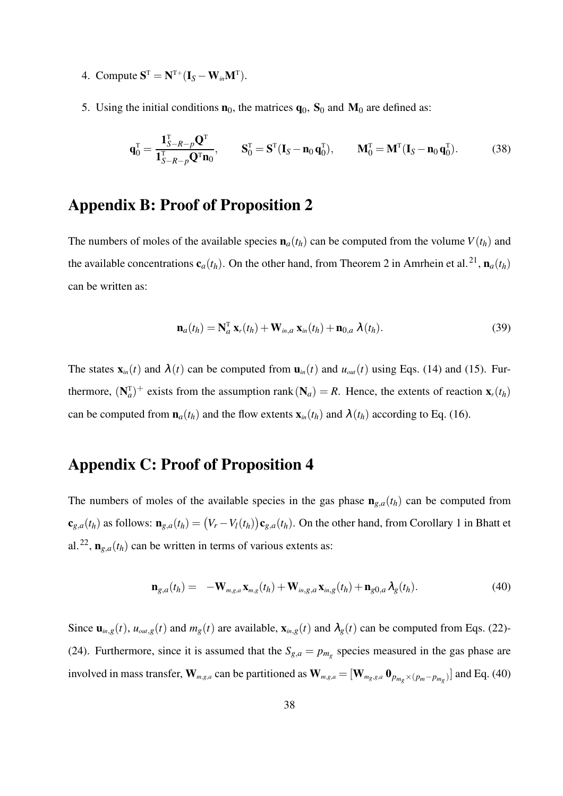- 4. Compute  $\mathbf{S}^{\mathrm{T}} = \mathbf{N}^{\mathrm{T}+} (\mathbf{I}_S \mathbf{W}_{in} \mathbf{M}^{\mathrm{T}}).$
- 5. Using the initial conditions  $\mathbf{n}_0$ , the matrices  $\mathbf{q}_0$ ,  $\mathbf{S}_0$  and  $\mathbf{M}_0$  are defined as:

$$
\mathbf{q}_0^{\mathrm{T}} = \frac{\mathbf{1}_{S-R-p}^{\mathrm{T}} \mathbf{Q}^{\mathrm{T}}}{\mathbf{1}_{S-R-p}^{\mathrm{T}} \mathbf{Q}^{\mathrm{T}} \mathbf{n}_0}, \qquad \mathbf{S}_0^{\mathrm{T}} = \mathbf{S}^{\mathrm{T}} (\mathbf{I}_S - \mathbf{n}_0 \mathbf{q}_0^{\mathrm{T}}), \qquad \mathbf{M}_0^{\mathrm{T}} = \mathbf{M}^{\mathrm{T}} (\mathbf{I}_S - \mathbf{n}_0 \mathbf{q}_0^{\mathrm{T}}). \tag{38}
$$

## **Appendix B: Proof of Proposition 2**

The numbers of moles of the available species  $\mathbf{n}_a(t_h)$  can be computed from the volume  $V(t_h)$  and the available concentrations  $\mathbf{c}_a(t_h)$ . On the other hand, from Theorem 2 in Amrhein et al.<sup>21</sup>,  $\mathbf{n}_a(t_h)$ can be written as:

$$
\mathbf{n}_{a}(t_{h}) = \mathbf{N}_{a}^{\mathrm{T}} \mathbf{x}_{r}(t_{h}) + \mathbf{W}_{in,a} \mathbf{x}_{in}(t_{h}) + \mathbf{n}_{0,a} \lambda(t_{h}). \qquad (39)
$$

The states  $\mathbf{x}_{in}(t)$  and  $\lambda(t)$  can be computed from  $\mathbf{u}_{in}(t)$  and  $u_{out}(t)$  using Eqs. (14) and (15). Furthermore,  $(\mathbf{N}_a^T)^+$  exists from the assumption rank  $(\mathbf{N}_a) = R$ . Hence, the extents of reaction  $\mathbf{x}_r(t_h)$ can be computed from  $\mathbf{n}_a(t_h)$  and the flow extents  $\mathbf{x}_m(t_h)$  and  $\lambda(t_h)$  according to Eq. (16).

# **Appendix C: Proof of Proposition 4**

The numbers of moles of the available species in the gas phase  $\mathbf{n}_{g,a}(t_h)$  can be computed from  $\mathbf{c}_{g,a}(t_h)$  as follows:  $\mathbf{n}_{g,a}(t_h) = (V_r - V_l(t_h))\mathbf{c}_{g,a}(t_h)$ . On the other hand, from Corollary 1 in Bhatt et al.<sup>22</sup>,  $\mathbf{n}_{g,a}(t_h)$  can be written in terms of various extents as:

$$
\mathbf{n}_{g,a}(t_h) = -\mathbf{W}_{m,g,a}\mathbf{x}_{m,g}(t_h) + \mathbf{W}_{in,g,a}\mathbf{x}_{m,g}(t_h) + \mathbf{n}_{g0,a}\lambda_g(t_h). \tag{40}
$$

Since  $\mathbf{u}_{in,g}(t)$ ,  $u_{out,g}(t)$  and  $m_g(t)$  are available,  $\mathbf{x}_{in,g}(t)$  and  $\lambda_g(t)$  can be computed from Eqs. (22)-(24). Furthermore, since it is assumed that the  $S_{g,a} = p_{m_g}$  species measured in the gas phase are involved in mass transfer,  $\mathbf{W}_{m,g,a}$  can be partitioned as  $\mathbf{W}_{m,g,a} = [\mathbf{W}_{m_g,g,a} \ \mathbf{0}_{p_{m_g} \times (p_m - p_{m_g})}]$  and Eq. (40)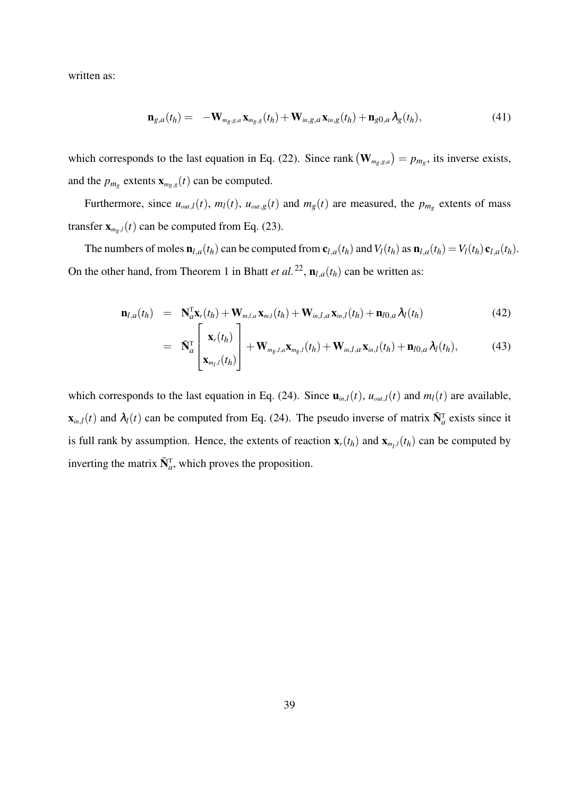written as:

$$
\mathbf{n}_{g,a}(t_h) = -\mathbf{W}_{m_g,g,a}\mathbf{x}_{m_g,g}(t_h) + \mathbf{W}_{in,g,a}\mathbf{x}_{m,g}(t_h) + \mathbf{n}_{g0,a}\lambda_g(t_h),
$$
\n(41)

which corresponds to the last equation in Eq. (22). Since rank  $(\mathbf{W}_{m_g,g,a}) = p_{m_g}$ , its inverse exists, and the  $p_{m_g}$  extents  $\mathbf{x}_{m_g,g}(t)$  can be computed.

Furthermore, since  $u_{out,l}(t)$ ,  $m_l(t)$ ,  $u_{out,g}(t)$  and  $m_g(t)$  are measured, the  $p_{m_g}$  extents of mass transfer  $\mathbf{x}_{m_p,l}(t)$  can be computed from Eq. (23).

The numbers of moles  $\mathbf{n}_{l,a}(t_h)$  can be computed from  $\mathbf{c}_{l,a}(t_h)$  and  $V_l(t_h)$  as  $\mathbf{n}_{l,a}(t_h) = V_l(t_h) \mathbf{c}_{l,a}(t_h)$ . On the other hand, from Theorem 1 in Bhatt *et al.*<sup>22</sup>,  $\mathbf{n}_{l,a}(t_h)$  can be written as:

$$
\mathbf{n}_{l,a}(t_h) = \mathbf{N}_a^{\mathrm{T}} \mathbf{x}_r(t_h) + \mathbf{W}_{m,l,a} \mathbf{x}_{m,l}(t_h) + \mathbf{W}_{in,l,a} \mathbf{x}_{m,l}(t_h) + \mathbf{n}_{l0,a} \lambda_l(t_h)
$$
(42)

$$
= \overline{\mathbf{N}}_{a}^{\mathrm{T}}\left[\frac{\mathbf{x}_{r}(t_{h})}{\mathbf{x}_{m_{l},l}(t_{h})}\right] + \mathbf{W}_{m_{g},l,a}\mathbf{x}_{m_{g},l}(t_{h}) + \mathbf{W}_{in,l,a}\mathbf{x}_{in,l}(t_{h}) + \mathbf{n}_{l0,a}\lambda_{l}(t_{h}), \qquad (43)
$$

which corresponds to the last equation in Eq. (24). Since  $\mathbf{u}_{in,l}(t)$ ,  $u_{out,l}(t)$  and  $m_l(t)$  are available,  $\mathbf{x}_{in,l}(t)$  and  $\lambda_l(t)$  can be computed from Eq. (24). The pseudo inverse of matrix  $\bar{\mathbf{N}}_a^T$  exists since it is full rank by assumption. Hence, the extents of reaction  $\mathbf{x}_r(t_h)$  and  $\mathbf{x}_{m_l,l}(t_h)$  can be computed by inverting the matrix  $\bar{N}_a^T$ , which proves the proposition.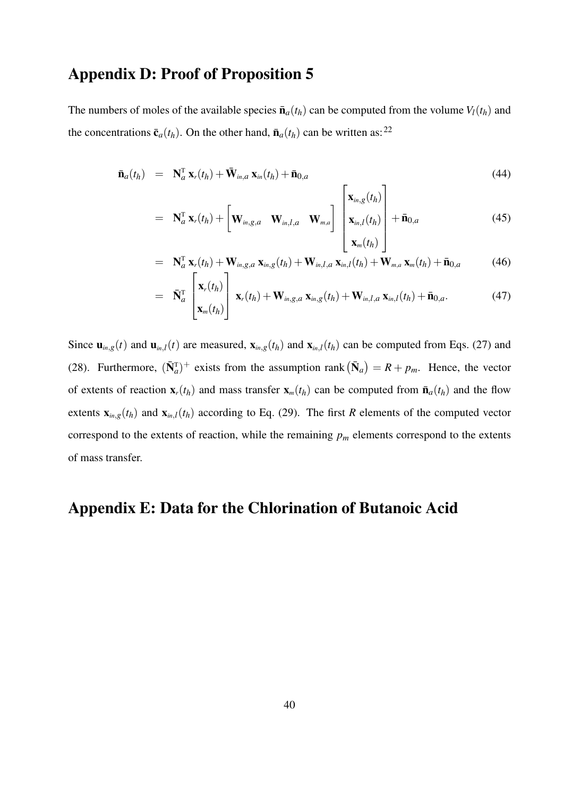# **Appendix D: Proof of Proposition 5**

The numbers of moles of the available species  $\bar{\mathbf{n}}_a(t_h)$  can be computed from the volume  $V_l(t_h)$  and the concentrations  $\bar{\mathbf{c}}_a(t_h)$ . On the other hand,  $\bar{\mathbf{n}}_a(t_h)$  can be written as:<sup>22</sup>

$$
\bar{\mathbf{n}}_a(t_h) = \mathbf{N}_a^{\mathrm{T}} \mathbf{x}_r(t_h) + \bar{\mathbf{W}}_{in,a} \mathbf{x}_{in}(t_h) + \bar{\mathbf{n}}_{0,a} \tag{44}
$$

$$
= \mathbf{N}_a^{\mathrm{T}} \mathbf{x}_r(t_h) + \begin{bmatrix} \mathbf{W}_{in,g,a} & \mathbf{W}_{in,l,a} & \mathbf{W}_{m,a} \end{bmatrix} \begin{bmatrix} \mathbf{x}_{in,g}(t_h) \\ \mathbf{x}_{in,l}(t_h) \\ \mathbf{x}_{in}(t_h) \end{bmatrix} + \bar{\mathbf{n}}_{0,a} \qquad (45)
$$

$$
= \mathbf{N}_a^{\mathrm{T}} \mathbf{x}_r(t_h) + \mathbf{W}_{in,g,a} \mathbf{x}_{in,g}(t_h) + \mathbf{W}_{in,l,a} \mathbf{x}_{in,l}(t_h) + \mathbf{W}_{m,a} \mathbf{x}_m(t_h) + \bar{\mathbf{n}}_{0,a}
$$
(46)

$$
= \overline{\mathbf{N}}_{a}^{\mathrm{T}}\begin{bmatrix} \mathbf{x}_{r}(t_{h}) \\ \mathbf{x}_{m}(t_{h}) \end{bmatrix} \mathbf{x}_{r}(t_{h}) + \mathbf{W}_{in,g,a} \mathbf{x}_{in,g}(t_{h}) + \mathbf{W}_{in,l,a} \mathbf{x}_{in,l}(t_{h}) + \overline{\mathbf{n}}_{0,a}.
$$
 (47)

Since  $\mathbf{u}_{m,g}(t)$  and  $\mathbf{u}_{m,l}(t)$  are measured,  $\mathbf{x}_{m,g}(t_h)$  and  $\mathbf{x}_{m,l}(t_h)$  can be computed from Eqs. (27) and (28). Furthermore,  $(\bar{N}_a^T)^+$  exists from the assumption rank  $(\bar{N}_a) = R + p_m$ . Hence, the vector of extents of reaction  $\mathbf{x}_r(t_h)$  and mass transfer  $\mathbf{x}_m(t_h)$  can be computed from  $\bar{\mathbf{n}}_a(t_h)$  and the flow extents  $\mathbf{x}_{in,g}(t_h)$  and  $\mathbf{x}_{in,l}(t_h)$  according to Eq. (29). The first *R* elements of the computed vector correspond to the extents of reaction, while the remaining  $p_m$  elements correspond to the extents of mass transfer.

# **Appendix E: Data for the Chlorination of Butanoic Acid**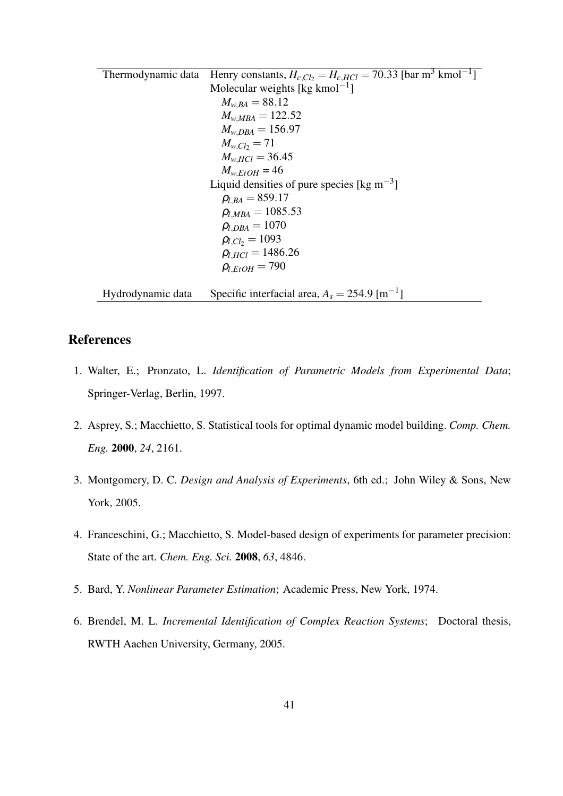Thermodynamic data Henry constants,  $H_{c,Cl_2} = H_{c,HCl} = 70.33$  [bar m<sup>3</sup> kmol<sup>-1</sup>] Molecular weights [kg kmol $^{-1}$ ]  $M_{w,BA} = 88.12$  $M_{w,MBA} = 122.52$  $M_{w,DBA} = 156.97$  $M_{w,Cl_2} = 71$  $M_{w,HCl} = 36.45$  $M_{w,E}$ *tOH* = 46 Liquid densities of pure species [kg m<sup>-3</sup>]  $\rho_{l,BA} = 859.17$  $\rho$ <sub>*l*,*MBA* = 1085.53</sub>  $\rho_{l,DBA} = 1070$  $\rho_{l,Cl_2} = 1093$  $\rho_{l,HCl} = 1486.26$  $ρ$ <sub>*l, EtOH* = 790</sub> Hydrodynamic data Specific interfacial area,  $A_s = 254.9 \,[\text{m}^{-1}]$ 

### **References**

- 1. Walter, E.; Pronzato, L. *Identification of Parametric Models from Experimental Data*; Springer-Verlag, Berlin, 1997.
- 2. Asprey, S.; Macchietto, S. Statistical tools for optimal dynamic model building. *Comp. Chem. Eng.* **2000**, *24*, 2161.
- 3. Montgomery, D. C. *Design and Analysis of Experiments*, 6th ed.; John Wiley & Sons, New York, 2005.
- 4. Franceschini, G.; Macchietto, S. Model-based design of experiments for parameter precision: State of the art. *Chem. Eng. Sci.* **2008**, *63*, 4846.
- 5. Bard, Y. *Nonlinear Parameter Estimation*; Academic Press, New York, 1974.
- 6. Brendel, M. L. *Incremental Identification of Complex Reaction Systems*; Doctoral thesis, RWTH Aachen University, Germany, 2005.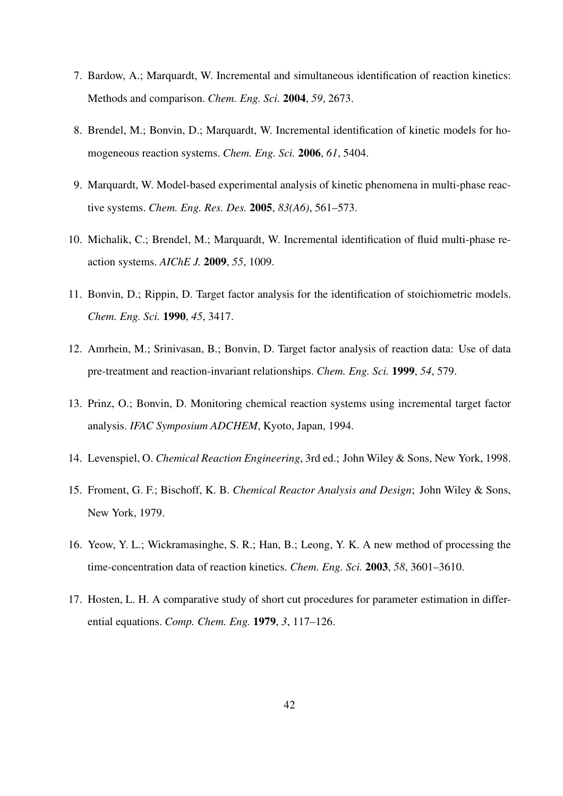- 7. Bardow, A.; Marquardt, W. Incremental and simultaneous identification of reaction kinetics: Methods and comparison. *Chem. Eng. Sci.* **2004**, *59*, 2673.
- 8. Brendel, M.; Bonvin, D.; Marquardt, W. Incremental identification of kinetic models for homogeneous reaction systems. *Chem. Eng. Sci.* **2006**, *61*, 5404.
- 9. Marquardt, W. Model-based experimental analysis of kinetic phenomena in multi-phase reactive systems. *Chem. Eng. Res. Des.* **2005**, *83(A6)*, 561–573.
- 10. Michalik, C.; Brendel, M.; Marquardt, W. Incremental identification of fluid multi-phase reaction systems. *AIChE J.* **2009**, *55*, 1009.
- 11. Bonvin, D.; Rippin, D. Target factor analysis for the identification of stoichiometric models. *Chem. Eng. Sci.* **1990**, *45*, 3417.
- 12. Amrhein, M.; Srinivasan, B.; Bonvin, D. Target factor analysis of reaction data: Use of data pre-treatment and reaction-invariant relationships. *Chem. Eng. Sci.* **1999**, *54*, 579.
- 13. Prinz, O.; Bonvin, D. Monitoring chemical reaction systems using incremental target factor analysis. *IFAC Symposium ADCHEM*, Kyoto, Japan, 1994.
- 14. Levenspiel, O. *Chemical Reaction Engineering*, 3rd ed.; John Wiley & Sons, New York, 1998.
- 15. Froment, G. F.; Bischoff, K. B. *Chemical Reactor Analysis and Design*; John Wiley & Sons, New York, 1979.
- 16. Yeow, Y. L.; Wickramasinghe, S. R.; Han, B.; Leong, Y. K. A new method of processing the time-concentration data of reaction kinetics. *Chem. Eng. Sci.* **2003**, *58*, 3601–3610.
- 17. Hosten, L. H. A comparative study of short cut procedures for parameter estimation in differential equations. *Comp. Chem. Eng.* **1979**, *3*, 117–126.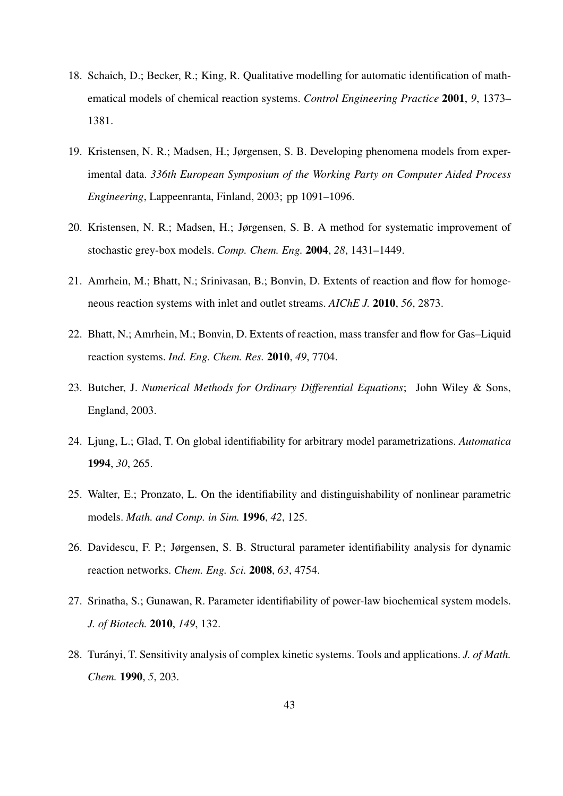- 18. Schaich, D.; Becker, R.; King, R. Qualitative modelling for automatic identification of mathematical models of chemical reaction systems. *Control Engineering Practice* **2001**, *9*, 1373– 1381.
- 19. Kristensen, N. R.; Madsen, H.; Jørgensen, S. B. Developing phenomena models from experimental data. *336th European Symposium of the Working Party on Computer Aided Process Engineering*, Lappeenranta, Finland, 2003; pp 1091–1096.
- 20. Kristensen, N. R.; Madsen, H.; Jørgensen, S. B. A method for systematic improvement of stochastic grey-box models. *Comp. Chem. Eng.* **2004**, *28*, 1431–1449.
- 21. Amrhein, M.; Bhatt, N.; Srinivasan, B.; Bonvin, D. Extents of reaction and flow for homogeneous reaction systems with inlet and outlet streams. *AIChE J.* **2010**, *56*, 2873.
- 22. Bhatt, N.; Amrhein, M.; Bonvin, D. Extents of reaction, mass transfer and flow for Gas–Liquid reaction systems. *Ind. Eng. Chem. Res.* **2010**, *49*, 7704.
- 23. Butcher, J. *Numerical Methods for Ordinary Differential Equations*; John Wiley & Sons, England, 2003.
- 24. Ljung, L.; Glad, T. On global identifiability for arbitrary model parametrizations. *Automatica* **1994**, *30*, 265.
- 25. Walter, E.; Pronzato, L. On the identifiability and distinguishability of nonlinear parametric models. *Math. and Comp. in Sim.* **1996**, *42*, 125.
- 26. Davidescu, F. P.; Jørgensen, S. B. Structural parameter identifiability analysis for dynamic reaction networks. *Chem. Eng. Sci.* **2008**, *63*, 4754.
- 27. Srinatha, S.; Gunawan, R. Parameter identifiability of power-law biochemical system models. *J. of Biotech.* **2010**, *149*, 132.
- 28. Turányi, T. Sensitivity analysis of complex kinetic systems. Tools and applications. *J. of Math. Chem.* **1990**, *5*, 203.